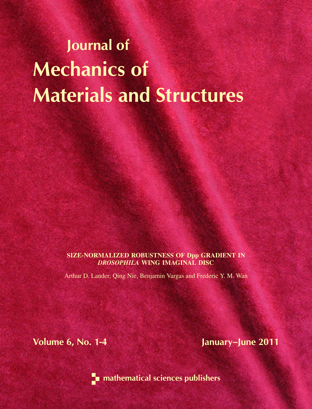# Journal of Mechanics of Materials and Structures

SIZE-NORMALIZED ROBUSTNESS OF Dpp GRADIENT IN *DROSOPHILA* WING IMAGINAL DISC

Arthur D. Lander, Qing Nie, Benjamin Vargas and Frederic Y. M. Wan

Volume 6, No. 1-4 January–June 2011



**n** mathematical sciences publishers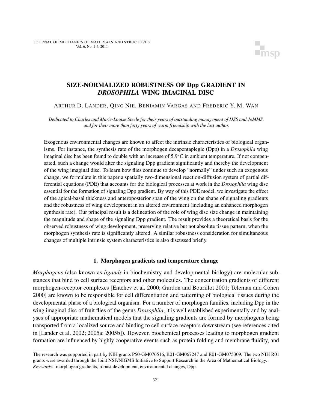

# SIZE-NORMALIZED ROBUSTNESS OF Dpp GRADIENT IN *DROSOPHILA* WING IMAGINAL DISC

# ARTHUR D. LANDER, QING NIE, BENJAMIN VARGAS AND FREDERIC Y. M. WAN

*Dedicated to Charles and Marie-Louise Steele for their years of outstanding management of IJSS and JoMMS, and for their more than forty years of warm friendship with the last author.*

Exogenous environmental changes are known to affect the intrinsic characteristics of biological organisms. For instance, the synthesis rate of the morphogen decapentaplegic (Dpp) in a *Drosophila* wing imaginal disc has been found to double with an increase of 5.9°C in ambient temperature. If not compensated, such a change would alter the signaling Dpp gradient significantly and thereby the development of the wing imaginal disc. To learn how flies continue to develop "normally" under such an exogenous change, we formulate in this paper a spatially two-dimensional reaction-diffusion system of partial differential equations (PDE) that accounts for the biological processes at work in the *Drosophila* wing disc essential for the formation of signaling Dpp gradient. By way of this PDE model, we investigate the effect of the apical-basal thickness and anteroposterior span of the wing on the shape of signaling gradients and the robustness of wing development in an altered environment (including an enhanced morphogen synthesis rate). Our principal result is a delineation of the role of wing disc size change in maintaining the magnitude and shape of the signaling Dpp gradient. The result provides a theoretical basis for the observed robustness of wing development, preserving relative but not absolute tissue pattern, when the morphogen synthesis rate is significantly altered. A similar robustness consideration for simultaneous changes of multiple intrinsic system characteristics is also discussed briefly.

# 1. Morphogen gradients and temperature change

*Morphogens* (also known as *ligands* in biochemistry and developmental biology) are molecular substances that bind to cell surface receptors and other molecules. The concentration gradients of different morphogen-receptor complexes [Entchev et al. 2000; Gurdon and Bourillot 2001; Teleman and Cohen 2000] are known to be responsible for cell differentiation and patterning of biological tissues during the developmental phase of a biological organism. For a number of morphogen families, including Dpp in the wing imaginal disc of fruit flies of the genus *Drosophila*, it is well established experimentally and by analyses of appropriate mathematical models that the signaling gradients are formed by morphogens being transported from a localized source and binding to cell surface receptors downstream (see references cited in [Lander et al. 2002; 2005a; 2005b]). However, biochemical processes leading to morphogen gradient formation are influenced by highly cooperative events such as protein folding and membrane fluidity, and

The research was supported in part by NIH grants P50-GM076516, R01-GM067247 and R01-GM075309. The two NIH R01 grants were awarded through the Joint NSF/NIGMS Initiative to Support Research in the Area of Mathematical Biology. *Keywords:* morphogen gradients, robust development, environmental changes, Dpp.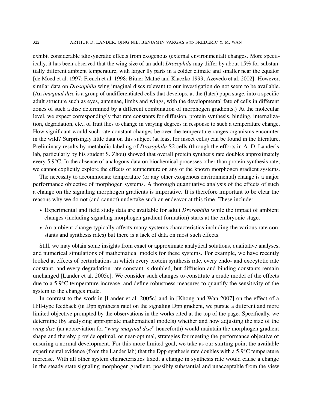exhibit considerable idiosyncratic effects from exogenous (external environmental) changes. More specifically, it has been observed that the wing size of an adult *Drosophila* may differ by about 15% for substantially different ambient temperature, with larger fly parts in a colder climate and smaller near the equator [de Moed et al. 1997; French et al. 1998; Bitner-Mathé and Klaczko 1999; Azevedo et al. 2002]. However, similar data on *Drosophila* wing imaginal discs relevant to our investigation do not seem to be available. (An *imaginal disc* is a group of undifferentiated cells that develops, at the (later) pupa stage, into a specific adult structure such as eyes, antennae, limbs and wings, with the developmental fate of cells in different zones of such a disc determined by a different combination of morphogen gradients.) At the molecular level, we expect correspondingly that rate constants for diffusion, protein synthesis, binding, internalization, degradation, etc., of fruit flies to change in varying degrees in response to such a temperature change. How significant would such rate constant changes be over the temperature ranges organisms encounter in the wild? Surprisingly little data on this subject (at least for insect cells) can be found in the literature. Preliminary results by metabolic labeling of *Drosophila* S2 cells (through the efforts in A. D. Lander's lab, particularly by his student S. Zhou) showed that overall protein synthesis rate doubles approximately every 5.9°C. In the absence of analogous data on biochemical processes other than protein synthesis rate, we cannot explicitly explore the effects of temperature on any of the known morphogen gradient systems.

The necessity to accommodate temperature (or any other exogenous environmental) change is a major performance objective of morphogen systems. A thorough quantitative analysis of the effects of such a change on the signaling morphogen gradients is imperative. It is therefore important to be clear the reasons why we do not (and cannot) undertake such an endeavor at this time. These include:

- Experimental and field study data are available for adult *Drosophila* while the impact of ambient changes (including signaling morphogen gradient formation) starts at the embryonic stage.
- An ambient change typically affects many systems characteristics including the various rate constants and synthesis rates) but there is a lack of data on most such effects.

Still, we may obtain some insights from exact or approximate analytical solutions, qualitative analyses, and numerical simulations of mathematical models for these systems. For example, we have recently looked at effects of perturbations in which every protein synthesis rate, every endo- and exocytotic rate constant, and every degradation rate constant is doubled, but diffusion and binding constants remain unchanged [Lander et al. 2005c]. We consider such changes to constitute a crude model of the effects due to a 5.9◦C temperature increase, and define robustness measures to quantify the sensitivity of the system to the changes made.

In contrast to the work in [Lander et al. 2005c] and in [Khong and Wan 2007] on the effect of a Hill-type feedback (in Dpp synthesis rate) on the signaling Dpp gradient, we pursue a different and more limited objective prompted by the observations in the works cited at the top of the page. Specifically, we determine (by analyzing appropriate mathematical models) whether and how adjusting the size of the *wing disc* (an abbreviation for "*wing imaginal disc*" henceforth) would maintain the morphogen gradient shape and thereby provide optimal, or near-optimal, strategies for meeting the performance objective of ensuring a normal development. For this more limited goal, we take as our starting point the available experimental evidence (from the Lander lab) that the Dpp synthesis rate doubles with a 5.9°C temperature increase. With all other system characteristics fixed, a change in synthesis rate would cause a change in the steady state signaling morphogen gradient, possibly substantial and unacceptable from the view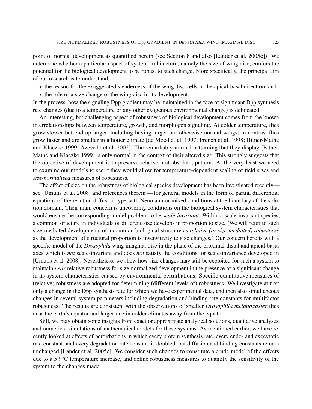point of normal development as quantified herein (see Section 8 and also [Lander et al. 2005c]). We determine whether a particular aspect of system architecture, namely the size of wing disc, confers the potential for the biological development to be robust to such change. More specifically, the principal aim of our research is to understand

- the reason for the exaggerated slenderness of the wing disc cells in the apical-basal direction, and
- the role of a size change of the wing disc in its development.

In the process, how the signaling Dpp gradient may be maintained in the face of significant Dpp synthesis rate changes (due to a temperature or any other exogenous environmental change) is delineated.

An interesting, but challenging aspect of robustness of biological development comes from the known interrelationships between temperature, growth, and morphogen signaling. At colder temperature, flies grow slower but end up larger, including having larger but otherwise normal wings; in contrast flies grow faster and are smaller in a hotter climate [de Moed et al. 1997; French et al. 1998; Bitner-Mathé and Klaczko 1999; Azevedo et al. 2002]. The remarkably normal patterning that they display [Bitner-Mathé and Klaczko 1999] is only normal in the context of their altered size. This strongly suggests that the objective of development is to preserve relative, not absolute, pattern. At the very least we need to examine our models to see if they would allow for temperature-dependent scaling of field sizes and *size-normalized* measures of robustness.

The effect of size on the robustness of biological species development has been investigated recently see [Umulis et al. 2008] and references therein— for general models in the form of partial differential equations of the reaction diffusion type with Neumann or mixed conditions at the boundary of the solution domain. Their main concern is uncovering conditions on the biological system characteristics that would ensure the corresponding model problem to be *scale-invariant*. Within a scale-invariant species, a common structure in individuals of different size develops in proportion to size. (We will refer to such size-mediated developments of a common biological structure as *relative (or size-mediated) robustness* as the development of structural proportion is insensitivity to size changes.) Our concern here is with a specific model of the *Drosophila* wing imaginal disc in the plane of the proximal-distal and apical-basal axes which is *not* scale-invariant and does *not* satisfy the conditions for scale-invariance developed in [Umulis et al. 2008]. Nevertheless, we show how size changes may still be exploited for such a system to maintain *near* relative robustness for size-normalized development in the presence of a significant change in its system characteristics caused by environmental perturbations. Specific quantitative measures of (relative) robustness are adopted for determining (different levels of) robustness. We investigate at first only a change in the Dpp synthesis rate for which we have experimental data, and then also simultaneous changes in several system parameters including degradation and binding rate constants for multifactor robustness. The results are consistent with the observations of smaller *Drosophila melanogaster* flies near the earth's equator and larger one in colder climates away from the equator.

Still, we may obtain some insights from exact or approximate analytical solutions, qualitative analyses, and numerical simulations of mathematical models for these systems. As mentioned earlier, we have recently looked at effects of perturbations in which every protein synthesis rate, every endo- and exocytotic rate constant, and every degradation rate constant is doubled, but diffusion and binding constants remain unchanged [Lander et al. 2005c]. We consider such changes to constitute a crude model of the effects due to a 5.9◦C temperature increase, and define robustness measures to quantify the sensitivity of the system to the changes made.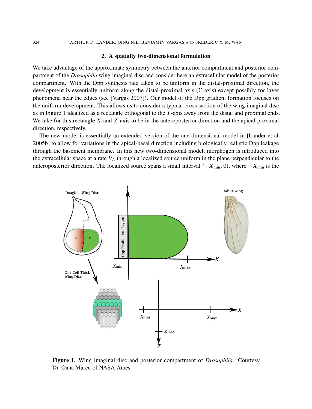### 2. A spatially two-dimensional formulation

We take advantage of the approximate symmetry between the anterior compartment and posterior compartment of the *Drosophila* wing imaginal disc and consider here an extracellular model of the posterior compartment. With the Dpp synthesis rate taken to be uniform in the distal-proximal direction, the development is essentially uniform along the distal-proximal axis (*Y* -axis) except possibly for layer phenomena near the edges (see [Vargas 2007]). Our model of the Dpp gradient formation focuses on the uniform development. This allows us to consider a typical cross section of the wing imaginal disc as in Figure 1 idealized as a rectangle orthogonal to the *Y* -axis away from the distal and proximal ends. We take for this rectangle *X*-and *Z*-axis to be in the anteroposterior direction and the apical-proximal direction, respectively.

The new model is essentially an extended version of the one-dimensional model in [Lander et al. 2005b] to allow for variations in the apical-basal direction including biologically realistic Dpp leakage through the basement membrane. In this new two-dimensional model, morphogen is introduced into the extracellular space at a rate *V<sup>L</sup>* through a localized source uniform in the plane perpendicular to the anteroposterior direction. The localized source spans a small interval (−*X*min, 0), where −*X*min is the



Figure 1. Wing imaginal disc and posterior compartment of *Drosophila*. Courtesy Dr. Oana Marcu of NASA Ames.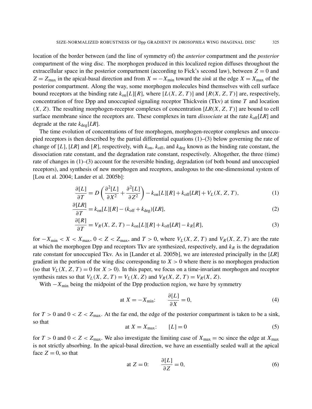location of the border between (and the line of symmetry of) the *anterior* compartment and the *posterior* compartment of the wing disc. The morphogen produced in this localized region diffuses throughout the extracellular space in the posterior compartment (according to Fick's second law), between  $Z = 0$  and  $Z = Z_{\text{max}}$  in the apical-basal direction and from  $X = -X_{\text{min}}$  toward the *sink* at the edge  $X = X_{\text{max}}$  of the posterior compartment. Along the way, some morphogen molecules bind themselves with cell surface bound receptors at the binding rate  $k_{on}[L][R]$ , where  $[L(X, Z, T)]$  and  $[R(X, Z, T)]$  are, respectively, concentration of free Dpp and unoccupied signaling receptor Thickvein (Tkv) at time *T* and location (*X*, *Z*). The resulting morphogen-receptor complexes of concentration [*LR*(*X*, *Z*, *T* )] are bound to cell surface membrane since the receptors are. These complexes in turn *dissociate* at the rate  $k_{off}[LR]$  and degrade at the rate  $k_{\text{deg}}[LR]$ .

The time evolution of concentrations of free morphogen, morphogen-receptor complexes and unoccupied receptors is then described by the partial differential equations (1)–(3) below governing the rate of change of  $[L]$ ,  $[LR]$  and  $[R]$ , respectively, with  $k_{on}$ ,  $k_{off}$ , and  $k_{deg}$  known as the binding rate constant, the dissociation rate constant, and the degradation rate constant, respectively. Altogether, the three (time) rate of changes in (1)–(3) account for the reversible binding, degradation (of both bound and unoccupied receptors), and synthesis of new morphogen and receptors, analogous to the one-dimensional system of [Lou et al. 2004; Lander et al. 2005b]:

$$
\frac{\partial [L]}{\partial T} = D \left( \frac{\partial^2 [L]}{\partial X^2} + \frac{\partial^2 [L]}{\partial Z^2} \right) - k_{\text{on}} [L] [R] + k_{\text{off}} [LR] + V_L(X, Z, T),\tag{1}
$$

$$
\frac{\partial [LR]}{\partial T} = k_{\text{on}}[L][R] - (k_{\text{off}} + k_{\text{deg}})[LR],\tag{2}
$$

$$
\frac{\partial [R]}{\partial T} = V_R(X, Z, T) - k_{\text{on}}[L][R] + k_{\text{off}}[LR] - k_R[R],\tag{3}
$$

for  $-X_{\text{min}} < X < X_{\text{max}}$ ,  $0 < Z < Z_{\text{max}}$ , and  $T > 0$ , where  $V_L(X, Z, T)$  and  $V_R(X, Z, T)$  are the rate at which the morphogen Dpp and receptors Tkv are synthesized, respectively, and  $k<sub>R</sub>$  is the degradation rate constant for unoccupied Tkv. As in [Lander et al. 2005b], we are interested principally in the [*LR*] gradient in the portion of the wing disc corresponding to  $X > 0$  where there is no morphogen production (so that  $V_L(X, Z, T) = 0$  for  $X > 0$ ). In this paper, we focus on a time-invariant morphogen and receptor synthesis rates so that  $V_L(X, Z, T) = V_L(X, Z)$  and  $V_R(X, Z, T) = V_R(X, Z)$ .

With  $-X_{\text{min}}$  being the midpoint of the Dpp production region, we have by symmetry

at 
$$
X = -X_{\min}
$$
:  $\frac{\partial [L]}{\partial X} = 0,$  (4)

for  $T > 0$  and  $0 < Z < Z_{\text{max}}$ . At the far end, the edge of the posterior compartment is taken to be a sink, so that

$$
at X = X_{\text{max}}: \qquad [L] = 0 \tag{5}
$$

for  $T > 0$  and  $0 < Z < Z_{\text{max}}$ . We also investigate the limiting case of  $X_{\text{max}} = \infty$  since the edge at  $X_{\text{max}}$ is not strictly absorbing. In the apical-basal direction, we have an essentially sealed wall at the apical face  $Z = 0$ , so that

$$
\text{at } Z = 0: \qquad \frac{\partial [L]}{\partial Z} = 0,\tag{6}
$$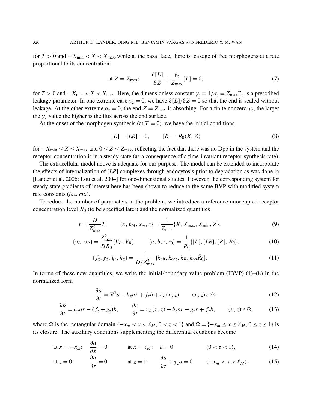for  $T > 0$  and  $-X_{\text{min}} < X < X_{\text{max}}$ , while at the basal face, there is leakage of free morphogens at a rate proportional to its concentration:

at 
$$
Z = Z_{\text{max}}
$$
: 
$$
\frac{\partial [L]}{\partial Z} + \frac{\gamma_z}{Z_{\text{max}}} [L] = 0,
$$
 (7)

for  $T > 0$  and  $-X_{\text{min}} < X < X_{\text{max}}$ . Here, the dimensionless constant  $\gamma_z \equiv 1/\sigma_z = Z_{\text{max}}\Gamma_z$  is a prescribed leakage parameter. In one extreme case  $\gamma_z = 0$ , we have  $\partial[L]/\partial Z = 0$  so that the end is sealed without leakage. At the other extreme  $\sigma_z = 0$ , the end  $Z = Z_{\text{max}}$  is absorbing. For a finite nonzero  $\gamma_z$ , the larger the  $\gamma$ <sub>z</sub> value the higher is the flux across the end surface.

At the onset of the morphogen synthesis (at  $T = 0$ ), we have the initial conditions

$$
[L] = [LR] = 0, \qquad [R] = R_0(X, Z) \tag{8}
$$

for  $-X_{\text{min}} \le X \le X_{\text{max}}$  and  $0 \le Z \le Z_{\text{max}}$ , reflecting the fact that there was no Dpp in the system and the receptor concentration is in a steady state (as a consequence of a time-invariant receptor synthesis rate).

The extracellular model above is adequate for our purpose. The model can be extended to incorporate the effects of internalization of [*LR*] complexes through endocytosis prior to degradation as was done in [Lander et al. 2006; Lou et al. 2004] for one-dimensional studies. However, the corresponding system for steady state gradients of interest here has been shown to reduce to the same BVP with modified system rate constants (*loc. cit.*).

To reduce the number of parameters in the problem, we introduce a reference unoccupied receptor concentration level  $\bar{R}_0$  (to be specified later) and the normalized quantities

$$
t = \frac{D}{Z_{\text{max}}^2}T, \qquad \{x, \ell_M, x_m, z\} = \frac{1}{Z_{\text{max}}}\{X, X_{\text{max}}, X_{\text{min}}, Z\},\tag{9}
$$

$$
\{v_L, v_R\} = \frac{Z_{\text{max}}^2}{D\bar{R}_0} \{V_L, V_R\}, \qquad \{a, b, r, r_0\} = \frac{1}{\bar{R}_0} \{[L], [LR], [R], R_0\},\tag{10}
$$

$$
\{f_z, g_z, g_r, h_z\} = \frac{1}{D/Z_{\text{max}}^2} \{k_{\text{off}}, k_{\text{deg}}, k_R, k_{\text{on}} \bar{R}_0\}.
$$
 (11)

In terms of these new quantities, we write the initial-boundary value problem  $(IBVP)$   $(1)$ – $(8)$  in the normalized form

$$
\frac{\partial a}{\partial t} = \nabla^2 a - h_z ar + f_z b + v_L(x, z) \qquad (x, z) \in \Omega,
$$
\n(12)

$$
\frac{\partial b}{\partial t} = h_z ar - (f_z + g_z)b, \qquad \frac{\partial r}{\partial t} = v_R(x, z) - h_z ar - g_r r + f_z b, \qquad (x, z) \in \bar{\Omega}, \tag{13}
$$

where  $\Omega$  is the rectangular domain { $-x_m < x < \ell_M$ , 0 < *z* < 1} and  $\overline{\Omega} = \{-x_m \le x \le \ell_M$ , 0 ≤ *z* ≤ 1} is its closure. The auxiliary conditions supplementing the differential equations become

at 
$$
x = -x_m
$$
:  $\frac{\partial a}{\partial x} = 0$  at  $x = \ell_M$ :  $a = 0$   $(0 < z < 1)$ , (14)

at 
$$
z = 0
$$
:  $\frac{\partial a}{\partial z} = 0$  at  $z = 1$ :  $\frac{\partial a}{\partial z} + \gamma_z a = 0$   $(-x_m < x < \ell_M)$ , (15)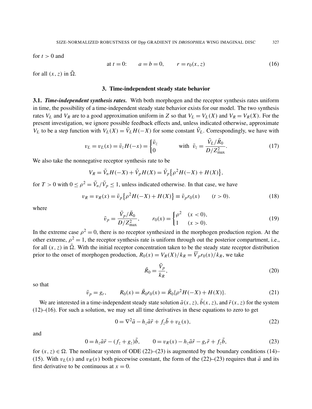for  $t > 0$  and

at 
$$
t = 0
$$
:  $a = b = 0$ ,  $r = r_0(x, z)$  (16)

for all  $(x, z)$  in  $\overline{\Omega}$ .

## 3. Time-independent steady state behavior

3.1. *Time-independent synthesis rates.* With both morphogen and the receptor synthesis rates uniform in time, the possibility of a time-independent steady state behavior exists for our model. The two synthesis rates  $V_L$  and  $V_R$  are to a good approximation uniform in *Z* so that  $V_L = V_L(X)$  and  $V_R = V_R(X)$ . For the present investigation, we ignore possible feedback effects and, unless indicated otherwise, approximate *V*<sub>*L*</sub> to be a step function with  $V_L(X) = \overline{V}_L H(-X)$  for some constant  $\overline{V}_L$ . Correspondingly, we have with

$$
v_L = v_L(x) = \bar{v}_z H(-x) = \begin{cases} \bar{v}_z & \text{with } \bar{v}_z = \frac{\bar{V}_L/\bar{R}_0}{D/Z_{\text{max}}^2}.\end{cases}
$$
(17)

We also take the nonnegative receptor synthesis rate to be

$$
V_R = \bar{V}_n H(-X) + \bar{V}_p H(X) = \bar{V}_p \{ \rho^2 H(-X) + H(X) \},\
$$

for  $T > 0$  with  $0 \le \rho^2 = \bar{V}_n / \bar{V}_p \le 1$ , unless indicated otherwise. In that case, we have

$$
v_R = v_R(x) = \bar{v}_P \{ \rho^2 H(-X) + H(X) \} \equiv \bar{v}_P r_0(x) \qquad (t > 0).
$$
 (18)

where

$$
\bar{v}_p = \frac{\bar{V}_p/\bar{R}_0}{D/Z_{\text{max}}^2}, \qquad r_0(x) = \begin{cases} \rho^2 & (x < 0), \\ 1 & (x > 0). \end{cases}
$$
(19)

In the extreme case  $\rho^2 = 0$ , there is no receptor synthesized in the morphogen production region. At the other extreme,  $\rho^2 = 1$ , the receptor synthesis rate is uniform through out the posterior compartment, i.e., for all  $(x, z)$  in  $\overline{\Omega}$ . With the initial receptor concentration taken to be the steady state receptor distribution prior to the onset of morphogen production,  $R_0(x) = V_R(X)/k_R = \overline{V}_p r_0(x)/k_R$ , we take

$$
\bar{R}_0 = \frac{\bar{V}_p}{k_R},\tag{20}
$$

so that

$$
\bar{v}_p = g_r, \qquad R_0(x) = \bar{R}_0 r_0(x) = \bar{R}_0 \{ \rho^2 H(-X) + H(X) \}.
$$
 (21)

We are interested in a time-independent steady state solution  $\bar{a}(x, z)$ ,  $\bar{b}(x, z)$ , and  $\bar{r}(x, z)$  for the system (12)–(16). For such a solution, we may set all time derivatives in these equations to zero to get

$$
0 = \nabla^2 \bar{a} - h_z \bar{a}\bar{r} + f_z \bar{b} + v_L(x),\tag{22}
$$

and

$$
0 = h_z \bar{a}\bar{r} - (f_z + g_z)\bar{b}, \qquad 0 = v_R(x) - h_z \bar{a}\bar{r} - g_r \bar{r} + f_z \bar{b}, \tag{23}
$$

for  $(x, z) \in \Omega$ . The nonlinear system of ODE (22)–(23) is augmented by the boundary conditions (14)– (15). With  $v_L(x)$  and  $v_R(x)$  both piecewise constant, the form of the (22)–(23) requires that  $\bar{a}$  and its first derivative to be continuous at  $x = 0$ .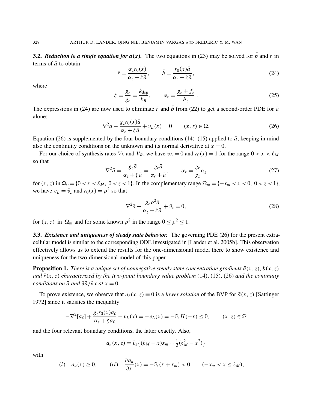3.2. *Reduction to a single equation for*  $\bar{a}(x)$ . The two equations in (23) may be solved for  $\bar{b}$  and  $\bar{r}$  in terms of  $\bar{a}$  to obtain

$$
\bar{r} = \frac{\alpha_z r_0(x)}{\alpha_z + \zeta \bar{a}}, \qquad \bar{b} = \frac{r_0(x)\bar{a}}{\alpha_z + \zeta \bar{a}},
$$
\n(24)

where

$$
\zeta = \frac{g_z}{g_r} = \frac{k_{\text{deg}}}{k_R}, \qquad \alpha_z = \frac{g_z + f_z}{h_z} \,. \tag{25}
$$

The expressions in (24) are now used to eliminate  $\bar{r}$  and  $\bar{b}$  from (22) to get a second-order PDE for  $\bar{a}$ alone:

$$
\nabla^2 \bar{a} - \frac{g_z r_0(x)\bar{a}}{\alpha_z + \zeta \bar{a}} + v_L(x) = 0 \qquad (x, z) \in \Omega.
$$
 (26)

Equation (26) is supplemented by the four boundary conditions (14)–(15) applied to  $\bar{a}$ , keeping in mind also the continuity conditions on the unknown and its normal derivative at  $x = 0$ .

For our choice of synthesis rates  $V_L$  and  $V_R$ , we have  $v_L = 0$  and  $r_0(x) = 1$  for the range  $0 < x < l_M$ so that

$$
\nabla^2 \bar{a} = \frac{g_z \bar{a}}{\alpha_z + \zeta \bar{a}} = \frac{g_r \bar{a}}{\alpha_r + \bar{a}}, \qquad \alpha_r = \frac{g_r}{g_z} \alpha_z \tag{27}
$$

for  $(x, z)$  in  $\Omega_0 = \{0 < x < \ell_M, \ 0 < z < 1\}$ . In the complementary range  $\Omega_m = \{-x_m < x < 0, \ 0 < z < 1\}$ , we have  $v_L = \bar{v}_z$  and  $r_0(x) = \rho^2$  so that

$$
\nabla^2 \bar{a} - \frac{g_z \rho^2 \bar{a}}{\alpha_z + \zeta \bar{a}} + \bar{v}_z = 0,\tag{28}
$$

for  $(x, z)$  in  $\Omega_m$  and for some known  $\rho^2$  in the range  $0 \le \rho^2 \le 1$ .

3.3. *Existence and uniqueness of steady state behavior.* The governing PDE (26) for the present extracellular model is similar to the corresponding ODE investigated in [Lander et al. 2005b]. This observation effectively allows us to extend the results for the one-dimensional model there to show existence and uniqueness for the two-dimensional model of this paper.

**Proposition 1.** *There is a unique set of nonnegative steady state concentration gradients*  $\bar{a}(x, z)$ ,  $\bar{b}(x, z)$ *and*  $\bar{r}(x, z)$  *characterized by the two-point boundary value problem* (14), (15), (26) *and the continuity conditions on*  $\bar{a}$  *and*  $\partial \bar{a}/\partial x$  *at*  $x = 0$ *.* 

To prove existence, we observe that  $a_\ell(x, z) \equiv 0$  is a *lower solution* of the BVP for  $\bar{a}(x, z)$  [Sattinger 1972] since it satisfies the inequality

$$
-\nabla^2[a_\ell] + \frac{g_z r_0(x) a_\ell}{\alpha_z + \zeta a_\ell} - v_L(x) = -v_L(x) = -\bar{v}_z H(-x) \le 0, \qquad (x, z) \in \Omega
$$

and the four relevant boundary conditions, the latter exactly. Also,

$$
a_u(x, z) = \bar{v}_z \{ (\ell_M - x) x_m + \frac{1}{2} (\ell_M^2 - x^2) \}
$$

with

$$
(i) \quad a_u(x) \ge 0, \qquad (ii) \quad \frac{\partial a_u}{\partial x}(x) = -\bar{v}_z(x + x_m) < 0 \qquad (-x_m < x \le \ell_M), \quad .
$$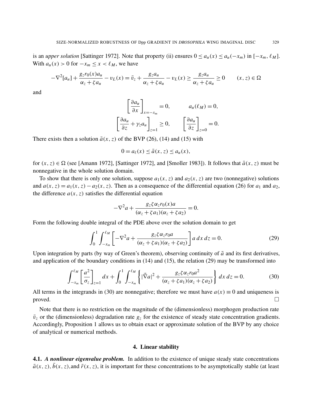is an *upper solution* [Sattinger 1972]. Note that property (ii) ensures  $0 \le a_u(x) \le a_u(-x_m)$  in  $[-x_m, \ell_M]$ . With  $a_u(x) > 0$  for  $-x_m \le x < \ell_M$ , we have

$$
-\nabla^2 [a_u] + \frac{g_z r_0(x) a_u}{\alpha_z + \zeta a_u} - v_L(x) = \bar{v}_z + \frac{g_z a_u}{\alpha_z + \zeta a_u} - v_L(x) \ge \frac{g_z a_u}{\alpha_z + \zeta a_u} \ge 0 \qquad (x, z) \in \Omega
$$

and

$$
\left[\frac{\partial a_u}{\partial x}\right]_{x=-x_m} = 0, \qquad a_u(\ell_M) = 0,
$$

$$
\left[\frac{\partial a_u}{\partial z} + \gamma_z a_u\right]_{z=1} \ge 0, \qquad \left[\frac{\partial a_u}{\partial z}\right]_{z=0} = 0.
$$

There exists then a solution  $\bar{a}(x, z)$  of the BVP (26), (14) and (15) with

$$
0 = a_{\ell}(x) \le \bar{a}(x, z) \le a_u(x),
$$

for  $(x, z) \in \Omega$  (see [Amann 1972], [Sattinger 1972], and [Smoller 1983]). It follows that  $\bar{a}(x, z)$  must be nonnegative in the whole solution domain.

To show that there is only one solution, suppose  $a_1(x, z)$  and  $a_2(x, z)$  are two (nonnegative) solutions and  $a(x, z) = a_1(x, z) - a_2(x, z)$ . Then as a consequence of the differential equation (26) for  $a_1$  and  $a_2$ , the difference  $a(x, z)$  satisfies the differential equation

$$
-\nabla^2 a + \frac{g_z \zeta \alpha_z r_0(x) a}{(\alpha_z + \zeta a_1)(\alpha_z + \zeta a_2)} = 0.
$$

Form the following double integral of the PDE above over the solution domain to get

$$
\int_0^1 \int_{-x_m}^{\ell_M} \left[ -\nabla^2 a + \frac{g_z \zeta \alpha_z r_0 a}{(\alpha_z + \zeta a_1)(\alpha_z + \zeta a_2)} \right] a \, dx \, dz = 0. \tag{29}
$$

Upon integration by parts (by way of Green's theorem), observing continuity of  $\bar{a}$  and its first derivatives, and application of the boundary conditions in (14) and (15), the relation (29) may be transformed into

$$
\int_{-x_m}^{\ell_M} \left[ \frac{a^2}{\sigma_z} \right]_{z=1} dx + \int_0^1 \int_{-x_m}^{\ell_M} \left\{ |\vec{\nabla}a|^2 + \frac{g_z \zeta \alpha_z r_0 a^2}{(\alpha_z + \zeta a_1)(\alpha_z + \zeta a_2)} \right\} dx dz = 0.
$$
 (30)

All terms in the integrands in (30) are nonnegative; therefore we must have  $a(x) \equiv 0$  and uniqueness is  $\Box$ 

Note that there is no restriction on the magnitude of the (dimensionless) morphogen production rate  $\bar{v}_z$  or the (dimensionless) degradation rate  $g_z$  for the existence of steady state concentration gradients. Accordingly, Proposition 1 allows us to obtain exact or approximate solution of the BVP by any choice of analytical or numerical methods.

### 4. Linear stability

4.1. *A nonlinear eigenvalue problem*. In addition to the existence of unique steady state concentrations  $\bar{a}(x, z)$ ,  $\bar{b}(x, z)$ , and  $\bar{r}(x, z)$ , it is important for these concentrations to be asymptotically stable (at least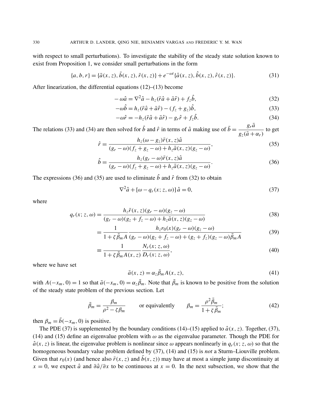with respect to small perturbations). To investigate the stability of the steady state solution known to exist from Proposition 1, we consider small perturbations in the form

$$
\{a, b, r\} = \{\bar{a}(x, z), \bar{b}(x, z), \bar{r}(x, z)\} + e^{-\omega t} \{\hat{a}(x, z), \hat{b}(x, z), \hat{r}(x, z)\}.
$$
\n(31)

After linearization, the differential equations (12)–(13) become

$$
-\omega\hat{a} = \nabla^2 \hat{a} - h_z(\bar{r}\hat{a} + \bar{a}\hat{r}) + f_z\hat{b},\tag{32}
$$

$$
-\omega \hat{b} = h_z(\bar{r}\hat{a} + \bar{a}\hat{r}) - (f_z + g_z)\hat{b},\tag{33}
$$

$$
-\omega \hat{r} = -h_z(\bar{r}\hat{a} + \bar{a}\hat{r}) - g_r\hat{r} + f_z\hat{b}.
$$
\n(34)

The relations (33) and (34) are then solved for  $\hat{b}$  and  $\hat{r}$  in terms of  $\hat{a}$  making use of  $\bar{b} = \frac{g_r \bar{a}}{f}$  $\frac{\delta r^2}{g_z(\bar{a}+\alpha_r)}$  to get  $\alpha \overline{\lambda} \overline{\kappa}$ <sup>*c*</sup>

$$
\hat{r} = \frac{h_z(\omega - g_z)r(x, z)a}{(g_r - \omega)(f_z + g_z - \omega) + h_z\bar{a}(x, z)(g_z - \omega)},
$$
\n(35)

$$
\hat{b} = \frac{h_z(g_r - \omega)\bar{r}(x, z)\hat{a}}{(g_r - \omega)(f_z + g_z - \omega) + h_z\bar{a}(x, z)(g_z - \omega)}.
$$
\n(36)

The expressions (36) and (35) are used to eliminate  $\hat{b}$  and  $\hat{r}$  from (32) to obtain

$$
\nabla^2 \hat{a} + [\omega - q_r(x; z, \omega)] \hat{a} = 0,\tag{37}
$$

where

$$
q_r(x; z, \omega) = \frac{h_z \bar{r}(x, z)(g_r - \omega)(g_z - \omega)}{(g_r - \omega)(g_z + f_z - \omega) + h_z \bar{a}(x, z)(g_z - \omega)}
$$
(38)

$$
= \frac{1}{1 + \zeta \bar{\beta}_m A} \frac{h_z r_0(x)(g_r - \omega)(g_z - \omega)}{(g_r - \omega)(g_z + f_z - \omega) + (g_z + f_z)(g_z - \omega)\bar{\beta}_m A}
$$
(39)

$$
\equiv \frac{1}{1+\zeta\bar{\beta}_m A(x,z)} \frac{N_r(x;z,\omega)}{D_r(x;z,\omega)},\tag{40}
$$

where we have set

$$
\bar{a}(x, z) = \alpha_z \bar{\beta}_m A(x, z),\tag{41}
$$

with  $A(-x_m, 0) = 1$  so that  $\bar{a}(-x_m, 0) = \alpha_z \bar{\beta}_m$ . Note that  $\bar{\beta}_m$  is known to be positive from the solution of the steady state problem of the previous section. Let

$$
\bar{\beta}_m = \frac{\beta_m}{\rho^2 - \zeta \beta_m} \qquad \text{or equivalently} \qquad \beta_m = \frac{\rho^2 \bar{\beta}_m}{1 + \zeta \bar{\beta}_m};
$$
(42)

then  $\beta_m = \bar{b}(-x_m, 0)$  is positive.

The PDE (37) is supplemented by the boundary conditions (14)–(15) applied to  $\hat{a}(x, z)$ . Together, (37), (14) and (15) define an eigenvalue problem with  $\omega$  as the eigenvalue parameter. Though the PDE for  $\hat{a}(x, z)$  is linear, the eigenvalue problem is nonlinear since  $\omega$  appears nonlinearly in  $q_r(x; z, \omega)$  so that the homogeneous boundary value problem defined by (37), (14) and (15) is *not* a Sturm–Liouville problem. Given that  $r_0(x)$  (and hence also  $\bar{r}(x, z)$  and  $\bar{b}(x, z)$ ) may have at most a simple jump discontinuity at  $x = 0$ , we expect  $\hat{a}$  and  $\partial \hat{a}/\partial x$  to be continuous at  $x = 0$ . In the next subsection, we show that the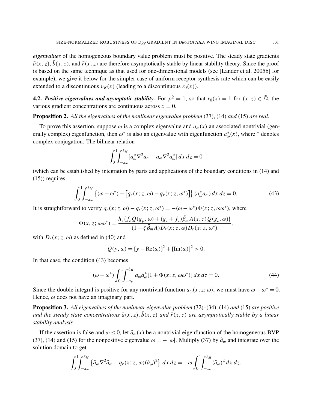*eigenvalues* of the homogeneous boundary value problem must be positive. The steady state gradients  $\bar{a}(x, z)$ ,  $\bar{b}(x, z)$ , and  $\bar{r}(x, z)$  are therefore asymptotically stable by linear stability theory. Since the proof is based on the same technique as that used for one-dimensional models (see [Lander et al. 2005b] for example), we give it below for the simpler case of uniform receptor synthesis rate which can be easily extended to a discontinuous  $v_R(x)$  (leading to a discontinuous  $r_0(x)$ ).

**4.2.** *Positive eigenvalues and asymptotic stability.* For  $\rho^2 = 1$ , so that  $r_0(x) = 1$  for  $(x, z) \in \overline{\Omega}$ , the various gradient concentrations are continuous across  $x = 0$ .

Proposition 2. *All the eigenvalues of the nonlinear eigenvalue problem* (37), (14) *and* (15) *are real.*

To prove this assertion, suppose  $\omega$  is a complex eigenvalue and  $a_{\omega}(x)$  an associated nontrivial (generally complex) eigenfunction, then  $\omega^*$  is also an eigenvalue with eigenfunction  $a_{\omega}^*(x)$ , where  $*$  denotes complex conjugation. The bilinear relation

$$
\int_0^1 \!\!\int_{-x_m}^{\ell_M} [a_\omega^* \nabla^2 a_\omega - a_\omega \nabla^2 a_\omega^*] dx dz = 0
$$

(which can be established by integration by parts and applications of the boundary conditions in (14) and (15)) requires

$$
\int_0^1 \int_{-x_m}^{\ell_M} \left\{ (\omega - \omega^*) - \left[ q_r(x; z, \omega) - q_r(x; z, \omega^*) \right] \right\} (a_\omega^* a_\omega) \, dx \, dz = 0. \tag{43}
$$

It is straightforward to verify  $q_r(x; z, \omega) - q_r(x; z, \omega^*) = -(\omega - \omega^*) \Phi(x; z, \omega \omega^*)$ , where

$$
\Phi(x, z; \omega\omega^*) = \frac{h_z \{f_z Q(g_p, \omega) + (g_z + f_z)\bar{\beta}_m A(x, z)Q(g_z, \omega)\}}{(1 + \zeta \bar{\beta}_m A)D_r(x; z, \omega)D_r(x; z, \omega^*)},
$$

with  $D_r(x; z, \omega)$  as defined in (40) and

$$
Q(y, \omega) = [y - \text{Re}(\omega)]^2 + [\text{Im}(\omega)]^2 > 0.
$$

In that case, the condition (43) becomes

$$
(\omega - \omega^*) \int_0^1 \int_{-x_m}^{\ell_M} a_\omega a_\omega^* [1 + \Phi(x; z, \omega \omega^*)] dx dz = 0.
$$
 (44)

Since the double integral is positive for any nontrivial function  $a_{\omega}(x, z; \omega)$ , we must have  $\omega - \omega^* = 0$ . Hence,  $\omega$  does not have an imaginary part.

Proposition 3. *All eigenvalues of the nonlinear eigenvalue problem* (32)*–*(34), (14) *and* (15) *are positive and the steady state concentrations*  $\bar{a}(x, z)$ ,  $\bar{b}(x, z)$  *and*  $\bar{r}(x, z)$  *are asymptotically stable by a linear stability analysis.*

If the assertion is false and  $\omega \le 0$ , let  $\hat{a}_\omega(x)$  be a nontrivial eigenfunction of the homogeneous BVP (37), (14) and (15) for the nonpositive eigenvalue  $\omega = -|\omega|$ . Multiply (37) by  $\hat{a}_{\omega}$  and integrate over the solution domain to get

$$
\int_0^1 \int_{-x_m}^{\ell_M} \left\{ \hat{a}_\omega \nabla^2 \hat{a}_\omega - q_r(x; z, \omega) (\hat{a}_\omega)^2 \right\} dx dz = -\omega \int_0^1 \int_{-x_m}^{\ell_M} (\hat{a}_\omega)^2 dx dz.
$$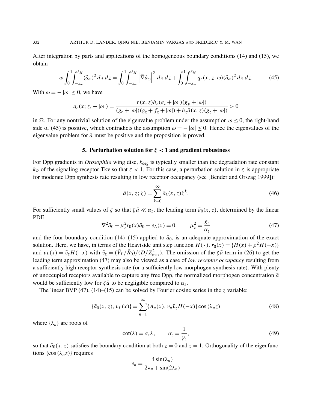After integration by parts and applications of the homogeneous boundary conditions (14) and (15), we obtain

$$
\omega \int_0^1 \int_{-x_m}^{\ell_M} (\hat{a}_\omega)^2 dx \, dz = \int_0^1 \int_{-x_m}^{\ell_M} \left| \vec{\nabla} \hat{a}_\omega \right|^2 dx \, dz + \int_0^1 \int_{-x_m}^{\ell_M} q_r(x; z, \omega) (\hat{a}_\omega)^2 dx \, dz. \tag{45}
$$

With  $\omega = -|\omega| \leq 0$ , we have

$$
q_r(x; z, -|\omega|) = \frac{\bar{r}(x, z)h_z(g_z + |\omega|)(g_p + |\omega|)}{(g_r + |\omega|)(g_z + f_z + |\omega|) + h_z \bar{a}(x, z)(g_z + |\omega|)} > 0
$$

in  $\Omega$ . For any nontrivial solution of the eigenvalue problem under the assumption  $\omega \leq 0$ , the right-hand side of (45) is positive, which contradicts the assumption  $\omega = -|\omega| \leq 0$ . Hence the eigenvalues of the eigenvalue problem for  $\hat{a}$  must be positive and the proposition is proved.

## 5. Perturbation solution for  $\zeta$  < 1 and gradient robustness

For Dpp gradients in *Drosophila* wing disc,  $k_{\text{deg}}$  is typically smaller than the degradation rate constant  $k_R$  of the signaling receptor Tkv so that  $\zeta$  < 1. For this case, a perturbation solution in  $\zeta$  is appropriate for moderate Dpp synthesis rate resulting in low receptor occupancy (see [Bender and Orszag 1999]):

$$
\bar{a}(x, z; \zeta) = \sum_{k=0}^{\infty} \bar{a}_k(x, z) \zeta^k.
$$
 (46)

For sufficiently small values of  $\zeta$  so that  $\zeta \bar{a} \ll \alpha_z$ , the leading term  $\bar{a}_0(x, z)$ , determined by the linear PDE

$$
\nabla^2 \bar{a}_0 - \mu_z^2 r_0(x) \bar{a}_0 + v_L(x) = 0, \qquad \mu_z^2 = \frac{g_z}{\alpha_z} \tag{47}
$$

and the four boundary condition (14)–(15) applied to  $\bar{a}_0$ , is an adequate approximation of the exact solution. Here, we have, in terms of the Heaviside unit step function  $H(\cdot)$ ,  $r_0(x) = {H(x) + \rho^2 H(-x)}$ and  $v_L(x) = \bar{v}_z H(-x)$  with  $\bar{v}_z = (\bar{V}_L/\bar{R}_0)/(D/Z_{\text{max}}^2)$ . The omission of the  $\zeta \bar{a}$  term in (26) to get the leading term approximation (47) may also be viewed as a case of *low receptor occupancy* resulting from a sufficiently high receptor synthesis rate (or a sufficiently low morphogen synthesis rate). With plenty of unoccupied receptors available to capture any free Dpp, the normalized morphogen concentration  $\bar{a}$ would be sufficiently low for  $\zeta \bar{a}$  to be negligible compared to  $\alpha_z$ .

The linear BVP  $(47)$ ,  $(14)$ – $(15)$  can be solved by Fourier cosine series in the *z* variable:

$$
\{\bar{a}_0(x, z), v_L(x)\} = \sum_{n=1}^{\infty} \{A_n(x), v_n \bar{v}_z H(-x)\} \cos(\lambda_n z)
$$
 (48)

where  $\{\lambda_n\}$  are roots of

$$
\cot(\lambda) = \sigma_z \lambda, \qquad \sigma_z = \frac{1}{\gamma_z}, \tag{49}
$$

so that  $\bar{a}_0(x, z)$  satisfies the boundary condition at both  $z = 0$  and  $z = 1$ . Orthogonality of the eigenfunctions  $\{\cos(\lambda_n z)\}\$  requires 4 sin(λ*n*)

$$
v_n = \frac{4 \sin(\lambda_n)}{2\lambda_n + \sin(2\lambda_n)}
$$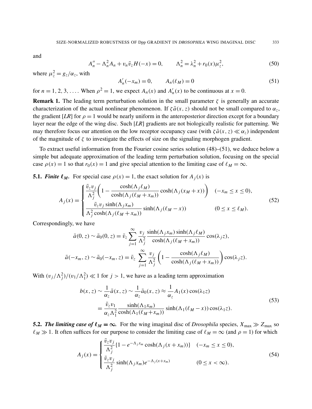and

$$
A_n'' - \Lambda_n^2 A_n + v_n \bar{v}_z H(-x) = 0, \qquad \Lambda_n^2 = \lambda_n^2 + r_0(x) \mu_z^2,
$$
 (50)

where  $\mu_z^2 = g_z/\alpha_z$ , with

$$
A'_{n}(-x_{m}) = 0, \t A_{n}(\ell_{M}) = 0 \t (51)
$$

for  $n = 1, 2, 3, \ldots$ . When  $\rho^2 = 1$ , we expect  $A_n(x)$  and  $A'_n(x)$  to be continuous at  $x = 0$ .

**Remark 1.** The leading term perturbation solution in the small parameter  $\zeta$  is generally an accurate characterization of the actual nonlinear phenomenon. If  $\zeta \bar{a}(x, z)$  should not be small compared to  $\alpha_z$ , the gradient [*LR*] for  $\rho = 1$  would be nearly uniform in the anteroposterior direction except for a boundary layer near the edge of the wing disc. Such [*LR*] gradients are not biologically realistic for patterning. We may therefore focus our attention on the low receptor occupancy case (with  $\zeta \bar{a}(x, z) \ll \alpha_z$ ) independent of the magnitude of  $\zeta$  to investigate the effects of size on the signaling morphogen gradient.

To extract useful information from the Fourier cosine series solution (48)–(51), we deduce below a simple but adequate approximation of the leading term perturbation solution, focusing on the special case  $\rho(x) = 1$  so that  $r_0(x) = 1$  and give special attention to the limiting case of  $\ell_M = \infty$ .

**5.1.** *Finite*  $\ell_M$ . For special case  $\rho(x) = 1$ , the exact solution for  $A_i(x)$  is

$$
A_j(x) = \begin{cases} \frac{\bar{v}_z v_j}{\Lambda_j^2} \left( 1 - \frac{\cosh(\Lambda_j \ell_M)}{\cosh(\Lambda_j(\ell_M + x_m))} \cosh(\Lambda_j(x_M + x)) \right) & (-x_m \le x \le 0), \\ \frac{\bar{v}_z v_j \sinh(\Lambda_j x_m)}{\Lambda_j^2 \cosh(\Lambda_j(\ell_M + x_m))} \sinh(\Lambda_j(\ell_M - x)) & (0 \le x \le \ell_M). \end{cases} \tag{52}
$$

Correspondingly, we have

$$
\bar{a}(0, z) \sim \bar{a}_0(0, z) = \bar{v}_z \sum_{j=1}^{\infty} \frac{v_j}{\Lambda_j^2} \frac{\sinh(\Lambda_j x_m) \sinh(\Lambda_j \ell_M)}{\cosh(\Lambda_j (\ell_M + x_m))} \cos(\lambda_j z),
$$

$$
\bar{a}(-x_m, z) \sim \bar{a}_0(-x_m, z) = \bar{v}_z \sum_{j=1}^{\infty} \frac{v_j}{\Lambda_j^2} \left(1 - \frac{\cosh(\Lambda_j \ell_M)}{\cosh(\Lambda_j (\ell_M + x_m))}\right) \cos(\lambda_j z).
$$

With  $(v_j/\Lambda_j^2)/(v_1/\Lambda_1^2) \ll 1$  for  $j > 1$ , we have as a leading term approximation

$$
b(x, z) \sim \frac{1}{\alpha_z} \bar{a}(x, z) \sim \frac{1}{\alpha_z} \bar{a}_0(x, z) \approx \frac{1}{\alpha_z} A_1(x) \cos(\lambda_1 z)
$$
  
= 
$$
\frac{\bar{v}_z v_1}{\alpha_z \Lambda_1^2} \frac{\sinh(\Lambda_1 x_m)}{\cosh(\Lambda_1 (\ell_M + x_m))} \sinh(\Lambda_1 (\ell_M - x)) \cos(\lambda_1 z).
$$
 (53)

**5.2.** *The limiting case of*  $\ell_M = \infty$ . For the wing imaginal disc of *Drosophila* species,  $X_{\text{max}} \gg Z_{\text{max}}$  so  $\ell_M \gg 1$ . It often suffices for our purpose to consider the limiting case of  $\ell_M = \infty$  (and  $\rho = 1$ ) for which

$$
A_j(x) = \begin{cases} \frac{\bar{v}_z v_j}{\Lambda_j^2} \{1 - e^{-\Lambda_j x_m} \cosh(\Lambda_j(x + x_m))\} & (-x_m \le x \le 0), \\ \frac{\bar{v}_z v_j}{\Lambda_j^2} \sinh(\Lambda_j x_m) e^{-\Lambda_j(x + x_m)} & (0 \le x < \infty). \end{cases} \tag{54}
$$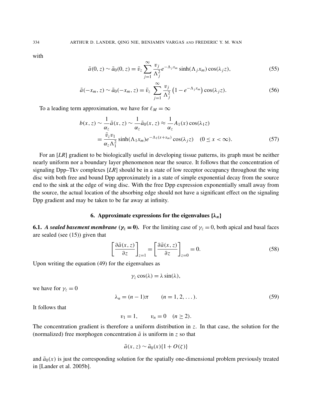with

$$
\bar{a}(0, z) \sim \bar{a}_0(0, z) = \bar{v}_z \sum_{j=1}^{\infty} \frac{v_j}{\Lambda_j^2} e^{-\Lambda_j x_m} \sinh(\Lambda_j x_m) \cos(\lambda_j z), \tag{55}
$$

$$
\bar{a}(-x_m, z) \sim \bar{a}_0(-x_m, z) = \bar{v}_z \sum_{j=1}^{\infty} \frac{v_j}{\Lambda_j^2} \left(1 - e^{-\Lambda_j x_m}\right) \cos(\lambda_j z). \tag{56}
$$

To a leading term approximation, we have for  $\ell_M = \infty$ 

$$
b(x, z) \sim \frac{1}{\alpha_z} \bar{a}(x, z) \sim \frac{1}{\alpha_z} \bar{a}_0(x, z) \approx \frac{1}{\alpha_z} A_1(x) \cos(\lambda_1 z)
$$
  
= 
$$
\frac{\bar{v}_z v_1}{\alpha_z \Lambda_1^2} \sinh(\Lambda_1 x_m) e^{-\Lambda_1 (x + x_m)} \cos(\lambda_j z) \quad (0 \le x < \infty).
$$
 (57)

For an [*LR*] gradient to be biologically useful in developing tissue patterns, its graph must be neither nearly uniform nor a boundary layer phenomenon near the source. It follows that the concentration of signaling Dpp–Tkv complexes [*LR*] should be in a state of low receptor occupancy throughout the wing disc with both free and bound Dpp approximately in a state of simple exponential decay from the source end to the sink at the edge of wing disc. With the free Dpp expression exponentially small away from the source, the actual location of the absorbing edge should not have a significant effect on the signaling Dpp gradient and may be taken to be far away at infinity.

## 6. Approximate expressions for the eigenvalues  $\{\lambda_n\}$

**6.1.** *A sealed basement membrane* ( $y_z = 0$ ). For the limiting case of  $\gamma_z = 0$ , both apical and basal faces are sealed (see (15)) given that

$$
\left[\frac{\partial \bar{a}(x,z)}{\partial z}\right]_{z=1} = \left[\frac{\partial \bar{a}(x,z)}{\partial z}\right]_{z=0} = 0.
$$
 (58)

Upon writing the equation (49) for the eigenvalues as

$$
\gamma_z \cos(\lambda) = \lambda \sin(\lambda),
$$

we have for  $\gamma_z = 0$ 

$$
\lambda_n = (n-1)\pi \qquad (n = 1, 2, \dots). \tag{59}
$$

It follows that

$$
v_1 = 1
$$
,  $v_n = 0$   $(n \ge 2)$ .

The concentration gradient is therefore a uniform distribution in *z*. In that case, the solution for the (normalized) free morphogen concentration  $\bar{a}$  is uniform in *z* so that

$$
\bar{a}(x, z) \sim \bar{a}_0(x) \{1 + O(\zeta)\}\
$$

and  $\bar{a}_0(x)$  is just the corresponding solution for the spatially one-dimensional problem previously treated in [Lander et al. 2005b].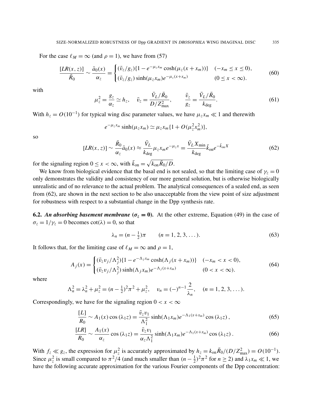For the case  $\ell_M = \infty$  (and  $\rho = 1$ ), we have from (57)

$$
\frac{[LR(x,z)]}{\bar{R}_0} \sim \frac{\bar{a}_0(x)}{\alpha_z} = \begin{cases} (\bar{v}_z/g_z)\{1 - e^{-\mu_z x_m} \cosh(\mu_z(x+x_m))\} & (-x_m \le x \le 0), \\ (\bar{v}_z/g_z) \sinh(\mu_z x_m)e^{-\mu_z(x+x_m)} & (0 \le x < \infty). \end{cases}
$$
(60)

with

$$
\mu_z^2 = \frac{g_z}{\alpha_z} \simeq h_z, \quad \bar{v}_z = \frac{\bar{V}_L/\bar{R}_0}{D/Z_{\text{max}}^2}, \qquad \frac{\bar{v}_z}{g_z} = \frac{\bar{V}_L/\bar{R}_0}{k_{\text{deg}}}.
$$
(61)

With  $h_z = O(10^{-1})$  for typical wing disc parameter values, we have  $\mu_z x_m \ll 1$  and therewith

$$
e^{-\mu_z x_m} \sinh(\mu_z x_m) \simeq \mu_z x_m \{1 + O(\mu_z^2 x_m^2)\},
$$

so

$$
[LR(x,z)] \sim \frac{\bar{R}_0}{\alpha_z} \bar{a}_0(x) \approx \frac{\bar{V}_L}{k_{\text{deg}}} \mu_z x_m e^{-\mu_z x} = \frac{\bar{V}_L X_{\text{min}}}{k_{\text{deg}}} \bar{k}_{\text{on}} e^{-\bar{k}_{\text{on}} X}
$$
(62)

for the signaling region  $0 \le x < \infty$ , with  $\bar{k}_{on} = \sqrt{k_{on} \bar{R}_0 / D}$ .

We know from biological evidence that the basal end is not sealed, so that the limiting case of  $\gamma_z = 0$ only demonstrates the validity and consistency of our more general solution, but is otherwise biologically unrealistic and of no relevance to the actual problem. The analytical consequences of a sealed end, as seen from (62), are shown in the next section to be also unacceptable from the view point of size adjustment for robustness with respect to a substantial change in the Dpp synthesis rate.

6.2. An absorbing basement membrane  $(\sigma_z = 0)$ . At the other extreme, Equation (49) in the case of  $\sigma_z = 1/\gamma_z = 0$  becomes  $\cot(\lambda) = 0$ , so that

$$
\lambda_n = (n - \frac{1}{2})\pi \qquad (n = 1, 2, 3, \dots). \tag{63}
$$

It follows that, for the limiting case of  $\ell_M = \infty$  and  $\rho = 1$ ,

$$
A_j(x) = \begin{cases} (\bar{v}_z v_j / \Lambda_j^2) \{ 1 - e^{-\Lambda_j x_m} \cosh(\Lambda_j(x + x_m)) \} & (-x_m < x < 0), \\ (\bar{v}_z v_j / \Lambda_j^2) \sinh(\Lambda_j x_m) e^{-\Lambda_j(x + x_m)} & (0 < x < \infty). \end{cases}
$$
(64)

where

$$
\Lambda_n^2 = \lambda_n^2 + \mu_z^2 = (n - \frac{1}{2})^2 \pi^2 + \mu_z^2, \quad v_n = (-)^{n-1} \frac{2}{\lambda_n}, \quad (n = 1, 2, 3, \dots).
$$

Correspondingly, we have for the signaling region  $0 < x < \infty$ 

$$
\frac{[L]}{R_0} \sim A_1(x) \cos(\lambda_1 z) = \frac{\bar{v}_z v_1}{\Lambda_1^2} \sinh(\Lambda_1 x_m) e^{-\Lambda_1 (x + x_m)} \cos(\lambda_1 z), \tag{65}
$$

$$
\frac{[LR]}{R_0} \sim \frac{A_1(x)}{\alpha_z} \cos{(\lambda_1 z)} = \frac{\bar{v}_z v_1}{\alpha_z \Lambda_1^2} \sinh(\Lambda_1 x_m) e^{-\Lambda_1 (x + x_m)} \cos{(\lambda_1 z)}.
$$
(66)

With  $f_z \ll g_z$ , the expression for  $\mu_z^2$  is accurately approximated by  $h_z = k_{on} \bar{R}_0/(D/Z_{\text{max}}^2) = O(10^{-1})$ . Since  $\mu_z^2$  is small compared to  $\pi^2/4$  (and much smaller than  $(n - \frac{1}{2})$  $(\frac{1}{2})^2 \pi^2$  for  $n \ge 2$ ) and  $\lambda_1 x_m \ll 1$ , we have the following accurate approximation for the various Fourier components of the Dpp concentration: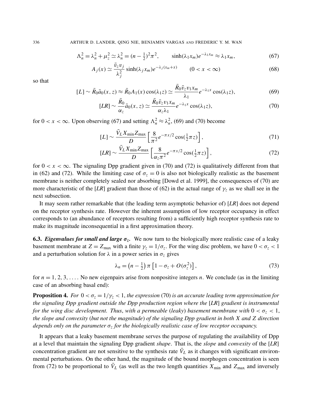336 ARTHUR D. LANDER, QING NIE, BENJAMIN VARGAS AND FREDERIC Y. M. WAN

$$
\Lambda_n^2 = \lambda_n^2 + \mu_z^2 \simeq \lambda_n^2 = (n - \frac{1}{2})^2 \pi^2, \qquad \sinh(\lambda_1 x_m) e^{-\lambda_1 x_m} \approx \lambda_1 x_m,\tag{67}
$$

$$
A_j(x) \simeq \frac{\bar{v}_z v_j}{\lambda_j^2} \sinh(\lambda_j x_m) e^{-\lambda_j (x_m + x)} \qquad (0 < x < \infty) \tag{68}
$$

so that

$$
[L] \sim \bar{R}_0 \bar{a}_0(x, z) \approx \bar{R}_0 A_1(x) \cos(\lambda_1 z) \simeq \frac{\bar{R}_0 \bar{v}_z v_1 x_m}{\lambda_1} e^{-\lambda_1 x} \cos(\lambda_1 z), \tag{69}
$$

$$
[LR] \sim \frac{\bar{R}_0}{\alpha_z} \bar{a}_0(x, z) \simeq \frac{\bar{R}_0 \bar{v}_z v_1 x_m}{\alpha_z \lambda_1} e^{-\lambda_1 x} \cos(\lambda_1 z), \tag{70}
$$

for  $0 < x < \infty$ . Upon observing (67) and setting  $\Lambda_n^2 \approx \lambda_n^2$ , (69) and (70) become

$$
[L] \sim \frac{\bar{V}_L X_{\min} Z_{\max}}{D} \left[ \frac{8}{\pi^2} e^{-\pi x/2} \cos(\frac{1}{2}\pi z) \right],\tag{71}
$$

$$
[LR] \sim \frac{\bar{V}_L X_{\min} Z_{\max}}{D} \left[ \frac{8}{\alpha_z \pi^2} e^{-\pi x/2} \cos(\frac{1}{2}\pi z) \right],\tag{72}
$$

for  $0 < x < \infty$ . The signaling Dpp gradient given in (70) and (72) is qualitatively different from that in (62) and (72). While the limiting case of  $\sigma_z = 0$  is also not biologically realistic as the basement membrane is neither completely sealed nor absorbing [Dowd et al. 1999], the consequences of (70) are more characteristic of the [*LR*] gradient than those of (62) in the actual range of  $\gamma_z$  as we shall see in the next subsection.

It may seem rather remarkable that (the leading term asymptotic behavior of) [*LR*] does not depend on the receptor synthesis rate. However the inherent assumption of low receptor occupancy in effect corresponds to (an abundance of receptors resulting from) a sufficiently high receptor synthesis rate to make its magnitude inconsequential in a first approximation theory.

6.3. *Eigenvalues for small and large* σ*<sup>z</sup> .* We now turn to the biologically more realistic case of a leaky basement membrane at  $Z = Z_{\text{max}}$  with a finite  $\gamma_z = 1/\sigma_z$ . For the wing disc problem, we have  $0 < \sigma_z < 1$ and a perturbation solution for  $\lambda$  in a power series in  $\sigma_z$  gives

$$
\lambda_n = \left(n - \frac{1}{2}\right)\pi \left[1 - \sigma_z + O(\sigma_z^2)\right],\tag{73}
$$

for *n* = 1, 2, 3, . . . . No new eigenpairs arise from nonpositive integers *n*. We conclude (as in the limiting case of an absorbing basal end):

**Proposition 4.** *For*  $0 < \sigma_z = 1/\gamma_z < 1$ , *the expression* (70) *is an accurate leading term approximation for the signaling Dpp gradient outside the Dpp production region where the* [*LR*] *gradient is instrumental for the wing disc development. Thus*, *with a permeable* (*leaky*) *basement membrane with* 0 < σ*<sup>z</sup>* < 1, *the slope and convexity* (*but not the magnitude*) *of the signaling Dpp gradient in both X and Z direction depends only on the parameter* σ*<sup>z</sup> for the biologically realistic case of low receptor occupancy.*

It appears that a leaky basement membrane serves the purpose of regulating the availability of Dpp at a level that maintain the signaling Dpp gradient *shape*. That is, the *slope* and *convexity* of the [*LR*] concentration gradient are not sensitive to the synthesis rate  $\bar{V}_L$  as it changes with significant environmental perturbations. On the other hand, the magnitude of the bound morphogen concentration is seen from (72) to be proportional to  $\bar{V}_L$  (as well as the two length quantities  $\bar{X}_{min}$  and  $\bar{Z}_{max}$  and inversely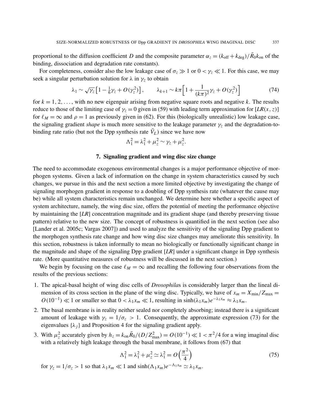proportional to the diffusion coefficient *D* and the composite parameter  $\alpha_z = (k_{off} + k_{deg})/\bar{R}_0 k_{on}$  of the binding, dissociation and degradation rate constants).

For completeness, consider also the low leakage case of  $\sigma_z \gg 1$  or  $0 < \gamma_z \ll 1$ . For this case, we may seek a singular perturbation solution for  $\lambda$  in  $\gamma_z$  to obtain

$$
\lambda_1 \sim \sqrt{\gamma_z} \left[ 1 - \frac{1}{6} \gamma_z + O(\gamma_z^2) \right], \qquad \lambda_{k+1} \sim k \pi \left[ 1 + \frac{1}{(k \pi)^2} \gamma_z + O(\gamma_z^2) \right] \tag{74}
$$

for  $k = 1, 2, \ldots$ , with no new eigenpair arising from negative square roots and negative k. The results reduce to those of the limiting case of  $\gamma_z = 0$  given in (59) with leading term approximation for [*LR*(*x*, *z*)] for  $\ell_M = \infty$  and  $\rho = 1$  as previously given in (62). For this (biologically unrealistic) low leakage case, the signaling gradient *shape* is much more sensitive to the leakage parameter  $\gamma_z$  and the degradation-tobinding rate ratio (but not the Dpp synthesis rate  $\bar{V}_L$ ) since we have now

$$
\Lambda_1^2 = \lambda_1^2 + \mu_z^2 \sim \gamma_z + \mu_z^2.
$$

#### 7. Signaling gradient and wing disc size change

The need to accommodate exogenous environmental changes is a major performance objective of morphogen systems. Given a lack of information on the change in system characteristics caused by such changes, we pursue in this and the next section a more limited objective by investigating the change of signaling morphogen gradient in response to a doubling of Dpp synthesis rate (whatever the cause may be) while all system characteristics remain unchanged. We determine here whether a specific aspect of system architecture, namely, the wing disc size, offers the potential of meeting the performance objective by maintaining the [*LR*] concentration magnitude and its gradient shape (and thereby preserving tissue pattern) relative to the new size. The concept of robustness is quantified in the next section (see also [Lander et al. 2005c; Vargas 2007]) and used to analyze the sensitivity of the signaling Dpp gradient to the morphogen synthesis rate change and how wing disc size changes may ameliorate this sensitivity. In this section, robustness is taken informally to mean no biologically or functionally significant change in the magnitude and shape of the signaling Dpp gradient [*LR*] under a significant change in Dpp synthesis rate. (More quantitative measures of robustness will be discussed in the next section.)

We begin by focusing on the case  $\ell_M = \infty$  and recalling the following four observations from the results of the previous sections:

- 1. The apical-basal height of wing disc cells of *Drosophila*s is considerably larger than the lineal dimension of its cross section in the plane of the wing disc. Typically, we have of  $x_m = X_{\text{min}}/Z_{\text{max}} =$  $O(10^{-1}) \ll 1$  or smaller so that  $0 < \lambda_1 x_m \ll 1$ , resulting in sinh $(\lambda_1 x_m)e^{-\lambda_1 x_m} \approx \lambda_1 x_m$ .
- 2. The basal membrane is in reality neither sealed nor completely absorbing; instead there is a significant amount of leakage with  $\gamma_z = 1/\sigma_z > 1$ . Consequently, the approximate expression (73) for the eigenvalues  $\{\lambda_i\}$  and Proposition 4 for the signaling gradient apply.
- 3. With  $\mu_z^2$  accurately given by  $h_z = k_{on} \bar{R}_0/(D/Z_{max}^2) = O(10^{-1}) \ll 1 < \pi^2/4$  for a wing imaginal disc with a relatively high leakage through the basal membrane, it follows from (67) that

$$
\Lambda_1^2 = \lambda_1^2 + \mu_z^2 \simeq \lambda_1^2 = O\left(\frac{\pi^2}{4}\right)
$$
 (75)

for  $\gamma_z = 1/\sigma_z > 1$  so that  $\lambda_1 x_m \ll 1$  and  $\sinh(\Lambda_1 x_m) e^{-\Lambda_1 x_m} \simeq \lambda_1 x_m$ .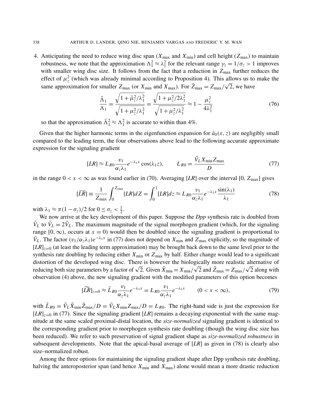4. Anticipating the need to reduce wing disc span ( $X_{\text{max}}$  and  $X_{\text{min}}$ ) and cell height ( $Z_{\text{max}}$ ) to maintain robustness, we note that the approximation  $\Lambda_1^2 \approx \lambda_1^2$  for the relevant range  $\gamma_z = 1/\sigma_z > 1$  improves with smaller wing disc size. It follows from the fact that a reduction in  $Z_{\text{max}}$  further reduces the effect of  $\mu_z^2$  (which was already minimal according to Proposition 4). This allows us to make the same approximation for smaller  $Z_{\text{max}}$  (or  $X_{\text{min}}$  and  $X_{\text{max}}$ ). For  $\tilde{Z}_{\text{max}} = Z_{\text{max}}/\sqrt{2}$ , we have

$$
\frac{\tilde{\Lambda}_1}{\Lambda_1} = \frac{\sqrt{1 + \tilde{\mu}_z^2/\lambda_1^2}}{\sqrt{1 + \mu_z^2/\lambda_1^2}} = \frac{\sqrt{1 + \mu_z^2/2\lambda_1^2}}{\sqrt{1 + \mu_z^2/\lambda_1^2}} \approx 1 - \frac{\mu_z^2}{4\lambda_1^2}
$$
(76)

so that the approximation  $\tilde{\Lambda}_1^2 \approx \Lambda_1^2$  is accurate to within than 4%.

Given that the higher harmonic terms in the eigenfunction expansion for  $\bar{a}_0(x, z)$  are negligibly small compared to the leading term, the four observations above lead to the following accurate approximate expression for the signaling gradient

$$
[LR] \approx L_{R0} \frac{v_1}{\alpha_z \lambda_1} e^{-\lambda_1 x} \cos(\lambda_1 z), \qquad L_{R0} = \frac{\bar{V}_L X_{\text{min}} Z_{\text{max}}}{D} \tag{77}
$$

in the range  $0 < x < \infty$  as was found earlier in (70). Averaging [LR] over the interval [0,  $Z_{\text{max}}$ ] gives

$$
[\overline{LR}] \equiv \frac{1}{Z_{\text{max}}} \int_0^{Z_{\text{max}}} [LR] dZ = \int_0^1 [LR] dz \approx L_{R0} \frac{v_1}{\alpha_z \lambda_1} e^{-\lambda_1 x} \frac{\sin(\lambda_1)}{\lambda_1}
$$
(78)

with  $\lambda_1 \approx \pi (1 - \sigma_z)/2$  for  $0 \le \sigma_z < \frac{1}{2}$  $rac{1}{2}$ .

We now arrive at the key development of this paper. Suppose the *Dpp* synthesis rate is doubled from  $\bar{V}_L$  to  $\tilde{V}_L = 2\bar{V}_L$ . The maximum magnitude of the signal morphogen gradient (which, for the signaling range [0,  $\infty$ ), occurs at *x* = 0) would then be doubled since the signaling gradient is proportional to  $\bar{V}_L$ . The factor  $(v_1/\alpha_z \lambda_1)e^{-\lambda_1 x}$  in (77) does not depend on  $X_{\min}$  and  $Z_{\max}$  explicitly, so the magnitude of  $[LR]_{z=0}$  (at least the leading term approximation) may be brought back down to the same level prior to the synthesis rate doubling by reducing either  $X_{\text{min}}$  or  $Z_{\text{max}}$  by half. Either change would lead to a significant distortion of the developed wing disc. There is however the biologically more realistic alternative of distortion of the developed wing disc. There is however the biologically more realistic alternative of reducing both size parameters by a factor of  $\sqrt{2}$ . Given  $\tilde{X}_{min} = X_{min}/\sqrt{2}$  and  $\tilde{Z}_{max} = Z_{max}/\sqrt{2}$  along with observation (4) above, the new signaling gradient with the modified parameters of this option becomes

$$
[\widetilde{LR}]_{z=0} \approx \widetilde{L}_{R0} \frac{v_1}{\alpha_z \lambda_1} e^{-\lambda_1 x} = L_{R0} \frac{v_1}{\alpha_z \lambda_1} e^{-\lambda_1 x} \qquad (0 < x < \infty),\tag{79}
$$

with  $\tilde{L}_{R0} = \tilde{V}_L \tilde{X}_{min} \tilde{Z}_{max}/D = \tilde{V}_L X_{min} Z_{max}/D = L_{R0}$ . The right-hand side is just the expression for  $[LR]_{z=0}$  in (77). Since the signaling gradient [*LR*] remains a decaying exponential with the same magnitude at the same scaled proximal-distal location, the *size-normalized* signaling gradient is identical to the corresponding gradient prior to morphogen synthesis rate doubling (though the wing disc size has been reduced). We refer to such preservation of signal gradient shape as *size-normalized robustness* in subsequent developments. Note that the apical-basal average of [*LR*] as given in (78) is clearly also size–normalized robust.

Among the three options for maintaining the signaling gradient shape after Dpp synthesis rate doubling, halving the anteroposterior span (and hence  $X_{\text{min}}$  and  $X_{\text{max}}$ ) alone would mean a more drastic reduction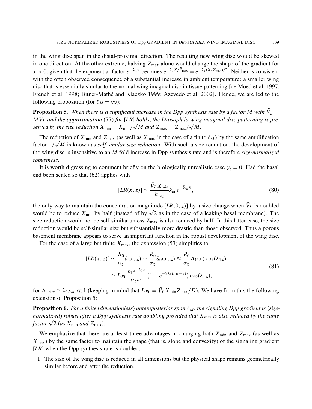in the wing disc span in the distal-proximal direction. The resulting new wing disc would be skewed in one direction. At the other extreme, halving *Z*max alone would change the shape of the gradient for  $x > 0$ , given that the exponential factor  $e^{-\lambda_1 x}$  becomes  $e^{-\lambda_1 X/\tilde{Z}_{\text{max}}} = e^{-\lambda_1 (X/Z_{\text{max}})/2}$ . Neither is consistent with the often observed consequence of a substantial increase in ambient temperature: a smaller wing disc that is essentially similar to the normal wing imaginal disc in tissue patterning [de Moed et al. 1997; French et al. 1998; Bitner-Mathé and Klaczko 1999; Azevedo et al. 2002]. Hence, we are led to the following proposition (for  $\ell_M = \infty$ ):

**Proposition 5.** When there is a significant increase in the Dpp synthesis rate by a factor M with  $\tilde{V}_L$  =  $M\bar{V}_L$  and the approximation (77) for [LR] holds, the Drosophila wing imaginal disc patterning is pre*served by the size reduction*  $\tilde{X}_{\min} = X_{\min}/\sqrt{M}$  and  $\tilde{Z}_{\max} = Z_{\max}/\sqrt{M}$ .

The reduction of  $X_{\text{min}}$  and  $Z_{\text{max}}$  (as well as  $X_{\text{max}}$  in the case of a finite  $\ell_M$ ) by the same amplification factor 1/ *M* is known as *self-similar size reduction*. With such a size reduction, the development of the wing disc is insensitive to an *M* fold increase in Dpp synthesis rate and is therefore *size-normalized robustness*.

It is worth digressing to comment briefly on the biologically unrealistic case  $\gamma_z = 0$ . Had the basal end been sealed so that (62) applies with

$$
[LR(x,z)] \sim \frac{\bar{V}_L X_{\min}}{k_{\text{deg}}} \bar{k}_{\text{on}} e^{-\bar{k}_{\text{on}} X},\tag{80}
$$

the only way to maintain the concentration magnitude [ $LR(0, z)$ ] by a size change when  $\bar{V}_L$  is doubled the only way to maintain the concentration magnitude [ $LK(0, z)$ ] by a size change when  $v_L$  is doubled would be to reduce  $X_{min}$  by half (instead of by  $\sqrt{2}$  as in the case of a leaking basal membrane). The size reduction would not be self-similar unless  $Z_{\text{max}}$  is also reduced by half. In this latter case, the size reduction would be self-similar size but substantially more drastic than those observed. Thus a porous basement membrane appears to serve an important function in the robust development of the wing disc.

For the case of a large but finite  $X_{\text{max}}$ , the expression (53) simplifies to

$$
[LR(x, z)] \sim \frac{\bar{R}_0}{\alpha_z} \bar{a}(x, z) \sim \frac{\bar{R}_0}{\alpha_z} \bar{a}_0(x, z) \approx \frac{\bar{R}_0}{\alpha_z} A_1(x) \cos(\lambda_1 z)
$$
  

$$
\simeq L_{R0} \frac{v_1 e^{-\lambda_1 x}}{\alpha_z \lambda_1} \left(1 - e^{-2\lambda_1 (\ell_M - x)}\right) \cos(\lambda_1 z), \tag{81}
$$

for  $\Lambda_1 x_m \simeq \lambda_1 x_m \ll 1$  (keeping in mind that  $L_{R0} = \bar{V}_L X_{\min} Z_{\max}/D$ ). We have from this the following extension of Proposition 5:

**Proposition 6.** For a finite (dimensionless) anteroposterior span  $\ell_M$ , the signaling Dpp gradient is (size*normalized*) *robust after a Dpp synthesis rate doubling provided that X*max *is also reduced by the same factor* <sup>√</sup> 2 (*as X*min *and Z*max)*.*

We emphasize that there are at least three advantages in changing both  $X_{\text{min}}$  and  $Z_{\text{max}}$  (as well as *X*max) by the same factor to maintain the shape (that is, slope and convexity) of the signaling gradient [*LR*] when the Dpp synthesis rate is doubled:

1. The size of the wing disc is reduced in all dimensions but the physical shape remains geometrically similar before and after the reduction.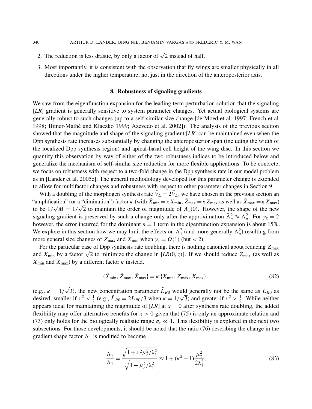- 2. The reduction is less drastic, by only a factor of  $\sqrt{2}$  instead of half.
- 3. Most importantly, it is consistent with the observation that fly wings are smaller physically in all directions under the higher temperature, not just in the direction of the anteroposterior axis.

#### 8. Robustness of signaling gradients

We saw from the eigenfunction expansion for the leading term perturbation solution that the signaling [*LR*] gradient is generally sensitive to system parameter changes. Yet actual biological systems are generally robust to such changes (up to a self-similar size change [de Moed et al. 1997; French et al. 1998; Bitner-Mathé and Klaczko 1999; Azevedo et al. 2002]). The analysis of the previous section showed that the magnitude and shape of the signaling gradient [*LR*] can be maintained even when the Dpp synthesis rate increases substantially by changing the anteroposterior span (including the width of the localized Dpp synthesis region) and apical-basal cell height of the wing disc. In this section we quantify this observation by way of either of the two robustness indices to be introduced below and generalize the mechanism of self-similar size reduction for more flexible applications. To be concrete, we focus on robustness with respect to a two-fold change in the Dpp synthesis rate in our model problem as in [Lander et al. 2005c]. The general methodology developed for this parameter change is extended to allow for multifactor changes and robustness with respect to other parameter changes in Section 9.

With a doubling of the morphogen synthesis rate  $\tilde{V}_L = 2\bar{V}_L$ , we have chosen in the previous section an "amplification" (or a "diminution") factor  $\kappa$  (with  $\tilde{X}_{min} = \kappa X_{min}$ ,  $\tilde{Z}_{max} = \kappa Z_{max}$  as well as  $\tilde{X}_{max} = \kappa X_{max}$ ) to be  $1/\sqrt{M} = 1/\sqrt{2}$  to maintain the order of magnitude of  $A_1(0)$ . However, the shape of the new signaling gradient is preserved by such a change only after the approximation  $\tilde{\Lambda}_n^2 \approx \Lambda_n^2$ . For  $\gamma_z = 2$ however, the error incurred for the dominant  $n = 1$  term in the eigenfunction expansion is about 15%. We explore in this section how we may limit the effects on  $\Lambda_1^2$  (and more generally  $\Lambda_n^2$ ) resulting from more general size changes of  $Z_{\text{max}}$  and  $X_{\text{min}}$  when  $\gamma_z = O(1)$  (but < 2).

For the particular case of Dpp synthesis rate doubling, there is nothing canonical about reducing  $Z_{\text{max}}$ For the particular case of Dpp synthesis rate doubling, there is nothing canonical about reducing  $Z_{\text{max}}$  and  $X_{\text{min}}$  by a factor  $\sqrt{2}$  to minimize the change in [*LR*(0, *z*)]. If we should reduce  $Z_{\text{max}}$  (as wel  $X_{\text{min}}$  and  $X_{\text{max}}$ ) by a different factor  $\kappa$  instead,

$$
\{\tilde{X}_{\min}, \tilde{Z}_{\max}, \tilde{X}_{\max}\} = \kappa \{X_{\min}, Z_{\max}, X_{\max}\},\tag{82}
$$

 $(e.g., \kappa = 1)$  $\sqrt{3}$ ), the new concentration parameter  $\tilde{L}_{R0}$  would generally not be the same as  $L_{R0}$  as desired, smaller if  $\kappa^2 < \frac{1}{2}$  $\frac{1}{2}$  (e.g.,  $\tilde{L}_{R0} = 2\tilde{L}_{R0}/3$  when  $\kappa = 1/\sqrt{3}$ ) and greater if  $\kappa^2 > \frac{1}{2}$  $\frac{1}{2}$ . While neither appears ideal for maintaining the magnitude of  $[LR]$  at  $x = 0$  after synthesis rate doubling, the added flexibility may offer alternative benefits for  $x > 0$  given that (75) is only an approximate relation and (73) only holds for the biologically realistic range  $\sigma$ <sub>z</sub>  $\ll$  1. This flexibility is explored in the next two subsections. For those developments, it should be noted that the ratio (76) describing the change in the gradient shape factor  $\Lambda_1$  is modified to become

$$
\frac{\tilde{\Lambda}_1}{\Lambda_1} = \frac{\sqrt{1 + \kappa^2 \mu_z^2 / \lambda_1^2}}{\sqrt{1 + \mu_z^2 / \lambda_1^2}} \approx 1 + (\kappa^2 - 1) \frac{\mu_z^2}{2\lambda_1^2},\tag{83}
$$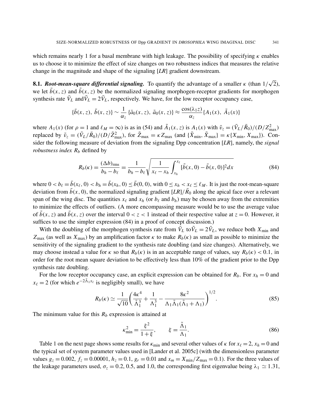which remains nearly 1 for a basal membrane with high leakage. The possibility of specifying  $\kappa$  enables us to choose it to minimize the effect of size changes on two robustness indices that measures the relative change in the magnitude and shape of the signaling [*LR*] gradient downstream.

8.1. *Root-mean-square differential signaling.* To quantify the advantage of a smaller κ (than 1/ √ 2), we let  $\bar{b}(x, z)$  and  $\tilde{b}(x, z)$  be the normalized signaling morphogen-receptor gradients for morphogen synthesis rate  $\bar{V}_L$  and  $\tilde{V}_L = 2\bar{V}_L$ , respectively. We have, for the low receptor occupancy case,

$$
\{\bar{b}(x,z),\ \tilde{b}(x,z)\}\sim\frac{1}{\alpha_z}\{\bar{a}_0(x,z),\ \tilde{a}_0(x,z)\}\approx\frac{\cos(\lambda_1 z)}{\alpha_z}\{A_1(x),\ \tilde{A}_1(x)\}\
$$

where  $A_1(x)$  (for  $\rho = 1$  and  $\ell_M = \infty$ ) is as in (54) and  $\tilde{A}_1(x, z)$  is  $A_1(x)$  with  $\bar{v}_z = (\bar{V}_L / \bar{R}_0) / (D/Z_{\text{max}}^2)$ replaced by  $\tilde{v}_z = (\tilde{V}_L/\bar{R}_0)/(D/\tilde{Z}_{\text{max}}^2)$ , for  $\tilde{Z}_{\text{max}} = \kappa Z_{\text{max}}$  (and  $\{\tilde{X}_{\text{min}}, \tilde{X}_{\text{max}}\} = \kappa \{X_{\text{min}}, X_{\text{max}}\}$ ). Consider the following measure of deviation from the signaling Dpp concentration [*LR*], namely, the *signal robustness index R<sup>b</sup>* defined by

$$
R_b(\kappa) = \frac{(\Delta b)_{\text{rms}}}{b_h - b_\ell} = \frac{1}{b_h - b_\ell} \sqrt{\frac{1}{x_\ell - x_h} \int_{x_h}^{x_\ell} [\tilde{b}(x, 0) - \bar{b}(x, 0)]^2 dx}
$$
(84)

where  $0 < b_\ell = \bar{b}(x_\ell, 0) < b_h = \bar{b}(x_h, 0) \le \bar{b}(0, 0)$ , with  $0 \le x_h < x_\ell \le \ell_M$ . It is just the root-mean-square deviation from  $\bar{b}(x, 0)$ , the normalized signaling gradient  $[LR]/\bar{R}_0$  along the apical face over a relevant span of the wing disc. The quantities  $x_\ell$  and  $x_h$  (or  $b_\ell$  and  $b_h$ ) may be chosen away from the extremities to minimize the effects of outliers. (A more encompassing measure would be to use the average value of  $\overline{b}(x, z)$  and  $\overline{b}(x, z)$  over the interval  $0 < z < 1$  instead of their respective value at  $z = 0$ . However, it suffices to use the simpler expression (84) in a proof of concept discussion.)

With the doubling of the morphogen synthesis rate from  $\bar{V}_L$  to  $\tilde{V}_L = 2\bar{V}_L$ , we reduce both  $X_{\text{min}}$  and  $Z_{\text{max}}$  (as well as  $X_{\text{max}}$ ) by an amplification factor  $\kappa$  to make  $R_b(\kappa)$  as small as possible to minimize the sensitivity of the signaling gradient to the synthesis rate doubling (and size changes). Alternatively, we may choose instead a value for  $\kappa$  so that  $R_b(\kappa)$  is in an acceptable range of values, say  $R_b(\kappa) < 0.1$ , in order for the root mean square deviation to be effectively less than 10% of the gradient prior to the Dpp synthesis rate doubling.

For the low receptor occupancy case, an explicit expression can be obtained for  $R_b$ . For  $x_h = 0$  and  $x_\ell = 2$  (for which  $e^{-2\tilde{\Lambda}_1 x_\ell}$  is negligibly small), we have

$$
R_b(\kappa) \simeq \frac{1}{\sqrt{10}} \left( \frac{4\kappa^4}{\tilde{\Lambda}_1^3} + \frac{1}{\Lambda_1^3} - \frac{8\kappa^2}{\Lambda_1 \tilde{\Lambda}_1 (\tilde{\Lambda}_1 + \Lambda_1)} \right)^{1/2}.
$$
 (85)

The minimum value for this  $R_b$  expression is attained at

$$
\kappa_{\min}^2 = \frac{\xi^2}{1+\xi}, \qquad \xi = \frac{\tilde{\Lambda}_1}{\Lambda_1}.
$$
\n(86)

Table 1 on the next page shows some results for  $\kappa_{\min}$  and several other values of  $\kappa$  for  $x_\ell = 2$ ,  $x_h = 0$  and the typical set of system parameter values used in [Lander et al. 2005c] (with the dimensionless parameter values  $g_z = 0.002$ ,  $f_z = 0.00001$ ,  $h_z = 0.1$ ,  $g_r = 0.01$  and  $x_m = X_{min}/Z_{max} = 0.1$ ). For the three values of the leakage parameters used,  $\sigma_z = 0.2$ , 0.5, and 1.0, the corresponding first eigenvalue being  $\lambda_1 \simeq 1.31$ ,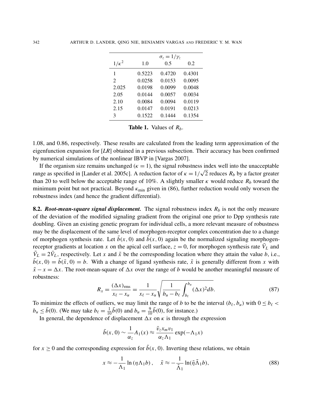|                             |        | $\sigma_z = 1/\gamma_z$ |        |
|-----------------------------|--------|-------------------------|--------|
| $1/\kappa^2$                | 1.0    | 0.5                     | 0.2    |
| 1                           | 0.5223 | 0.4720                  | 0.4301 |
| $\mathcal{D}_{\mathcal{L}}$ | 0.0258 | 0.0153                  | 0.0095 |
| 2.025                       | 0.0198 | 0.0099                  | 0.0048 |
| 2.05                        | 0.0144 | 0.0057                  | 0.0034 |
| 2.10                        | 0.0084 | 0.0094                  | 0.0119 |
| 2.15                        | 0.0147 | 0.0191                  | 0.0213 |
| 3                           | 0.1522 | 0.1444                  | 0.1354 |

**Table 1.** Values of  $R_b$ .

1.08, and 0.86, respectively. These results are calculated from the leading term approximation of the eigenfunction expansion for [*LR*] obtained in a previous subsection. Their accuracy has been confirmed by numerical simulations of the nonlinear IBVP in [Vargas 2007].

If the organism size remains unchanged ( $\kappa = 1$ ), the signal robustness index well into the unacceptable range as specified in [Lander et al. 2005c]. A reduction factor of  $\kappa = 1/\sqrt{2}$  reduces  $R_b$  by a factor greater than 20 to well below the acceptable range of 10%. A slightly smaller  $\kappa$  would reduce  $R_b$  toward the minimum point but not practical. Beyond  $\kappa_{\rm min}$  given in (86), further reduction would only worsen the robustness index (and hence the gradient differential).

8.2. *Root-mean-square signal displacement.* The signal robustness index *R<sup>b</sup>* is not the only measure of the deviation of the modified signaling gradient from the original one prior to Dpp synthesis rate doubling. Given an existing genetic program for individual cells, a more relevant measure of robustness may be the displacement of the same level of morphogen-receptor complex concentration due to a change of morphogen synthesis rate. Let  $\bar{b}(x, 0)$  and  $\tilde{b}(x, 0)$  again be the normalized signaling morphogenreceptor gradients at location *x* on the apical cell surface,  $z = 0$ , for morphogen synthesis rate  $\bar{V}_L$  and  $\tilde{V}_L = 2\bar{V}_L$ , respectively. Let *x* and  $\tilde{x}$  be the corresponding location where they attain the value *b*, i.e.,  $\bar{b}(x, 0) = \tilde{b}(\tilde{x}, 0) = b$ . With a change of ligand synthesis rate,  $\tilde{x}$  is generally different from *x* with  $\tilde{x} - x = \Delta x$ . The root-mean-square of  $\Delta x$  over the range of *b* would be another meaningful measure of robustness:

$$
R_{x} = \frac{(\Delta x)_{\text{rms}}}{x_{\ell} - x_{u}} = \frac{1}{x_{\ell} - x_{u}} \sqrt{\frac{1}{b_{u} - b_{\ell}}} \int_{b_{\ell}}^{b_{u}} (\Delta x)^{2} db.
$$
 (87)

To minimize the effects of outliers, we may limit the range of *b* to be the interval  $(b_\ell, b_u)$  with  $0 \leq b_\ell$  $b_u \le \bar{b}(0)$ . (We may take  $b_\ell = \frac{1}{10} \bar{b}(0)$  and  $b_u = \frac{9}{10} \bar{b}(0)$ , for instance.)

In general, the dependence of displacement  $\Delta x$  on  $\kappa$  is through the expression

$$
\bar{b}(x, 0) \sim \frac{1}{\alpha_z} A_1(x) \approx \frac{\bar{v}_z x_m v_1}{\alpha_z \Lambda_1} \exp(-\Lambda_1 x)
$$

for  $x \ge 0$  and the corresponding expression for  $\tilde{b}(x, 0)$ . Inverting these relations, we obtain

$$
x \approx -\frac{1}{\Lambda_1} \ln \left( \eta \Lambda_1 b \right), \quad \tilde{x} \approx -\frac{1}{\tilde{\Lambda}_1} \ln(\tilde{\eta} \tilde{\Lambda}_1 b), \tag{88}
$$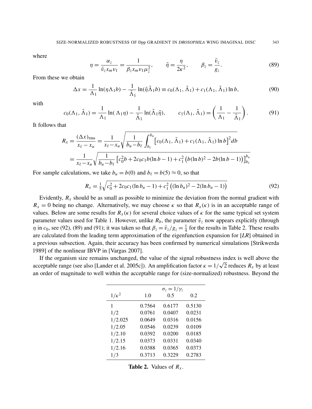where

$$
\eta = \frac{\alpha_z}{\bar{v}_z x_m v_1} = \frac{1}{\beta_z x_m v_1 \mu_z^2}, \qquad \tilde{\eta} = \frac{\eta}{2\kappa^2}, \qquad \beta_z = \frac{\bar{v}_z}{g_z}.
$$
\n(89)

From these we obtain

$$
\Delta x = \frac{1}{\Lambda_1} \ln(\eta \Lambda_1 b) - \frac{1}{\tilde{\Lambda}_1} \ln(\tilde{\eta} \tilde{\Lambda}_1 b) \equiv c_0(\Lambda_1, \tilde{\Lambda}_1) + c_1(\Lambda_1, \tilde{\Lambda}_1) \ln b,\tag{90}
$$

with

$$
c_0(\Lambda_1, \tilde{\Lambda}_1) = \frac{1}{\Lambda_1} \ln(\Lambda_1 \eta) - \frac{1}{\tilde{\Lambda}_1} \ln(\tilde{\Lambda}_1 \tilde{\eta}), \qquad c_1(\Lambda_1, \tilde{\Lambda}_1) = \left(\frac{1}{\Lambda_1} - \frac{1}{\tilde{\Lambda}_1}\right). \tag{91}
$$

It follows that

$$
R_x = \frac{(\Delta x)_{\text{rms}}}{x_{\ell} - x_u} = \frac{1}{x_{\ell} - x_u} \sqrt{\frac{1}{b_u - b_{\ell}}} \int_{b_{\ell}}^{b_u} \left[ c_0(\Lambda_1, \tilde{\Lambda}_1) + c_1(\Lambda_1, \tilde{\Lambda}_1) \ln b \right]^2 db
$$
  
= 
$$
\frac{1}{x_{\ell} - x_u} \sqrt{\frac{1}{b_u - b_{\ell}}} \left[ c_0^2 b + 2c_0 c_1 b (\ln b - 1) + c_1^2 \left( b (\ln b)^2 - 2b (\ln b - 1) \right) \right]_{b_{\ell}}^{b_u}
$$

For sample calculations, we take  $b_u = b(0)$  and  $b_\ell = b(5) \approx 0$ , so that

$$
R_x = \frac{1}{5} \sqrt{c_0^2 + 2c_0 c_1 (\ln b_u - 1) + c_1^2 \left( (\ln b_u)^2 - 2(\ln b_u - 1) \right)}
$$
(92)

Evidently,  $R<sub>x</sub>$  should be as small as possible to minimize the deviation from the normal gradient with  $R_x = 0$  being no change. Alternatively, we may choose  $\kappa$  so that  $R_x(\kappa)$  is in an acceptable range of values. Below are some results for  $R<sub>x</sub>(\kappa)$  for several choice values of  $\kappa$  for the same typical set system parameter values used for Table 1. However, unlike  $R_b$ , the parameter  $\bar{v}_z$  now appears explicitly (through  $\eta$  in *c*<sub>0</sub>, see (92), (89) and (91); it was taken so that  $\beta_z = \bar{v}_z/g_z = \frac{1}{4}$  $\frac{1}{4}$  for the results in Table 2. These results are calculated from the leading term approximation of the eigenfunction expansion for [*LR*] obtained in a previous subsection. Again, their accuracy has been confirmed by numerical simulations [Strikwerda 1989] of the nonlinear IBVP in [Vargas 2007].

If the organism size remains unchanged, the value of the signal robustness index is well above the acceptable range (see also [Lander et al. 2005c]). An amplification factor  $\kappa = 1/\sqrt{2}$  reduces  $R_x$  by at least an order of magnitude to well within the acceptable range for (size-normalized) robustness. Beyond the

|              |        | $\sigma_z = 1/\gamma_z$ |        |
|--------------|--------|-------------------------|--------|
| $1/\kappa^2$ | 1.0    | 0.5                     | 0.2    |
| 1            | 0.7564 | 0.6177                  | 0.5130 |
| 1/2          | 0.0761 | 0.0407                  | 0.0231 |
| 1/2.025      | 0.0649 | 0.0316                  | 0.0156 |
| 1/2.05       | 0.0546 | 0.0239                  | 0.0109 |
| 1/2.10       | 0.0392 | 0.0200                  | 0.0185 |
| 1/2.15       | 0.0373 | 0.0331                  | 0.0340 |
| 1/2.16       | 0.0388 | 0.0365                  | 0.0373 |
| 1/3          | 0.3713 | 0.3229                  | 0.2783 |

**Table 2.** Values of  $R_x$ .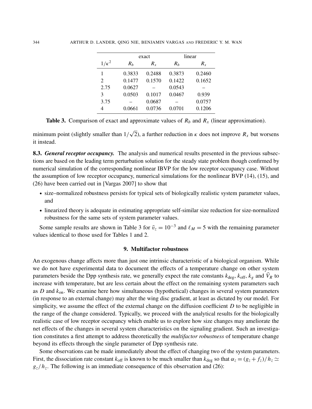|                             |        | exact   |        | linear  |  |
|-----------------------------|--------|---------|--------|---------|--|
| $1/\kappa^2$                | $R_h$  | $R_{r}$ | $R_h$  | $R_{x}$ |  |
| 1                           | 0.3833 | 0.2488  | 0.3873 | 0.2460  |  |
| $\mathcal{D}_{\mathcal{L}}$ | 0.1477 | 0.1570  | 0.1422 | 0.1652  |  |
| 2.75                        | 0.0627 |         | 0.0543 |         |  |
| 3                           | 0.0503 | 0.1017  | 0.0467 | 0.939   |  |
| 3.75                        |        | 0.0687  |        | 0.0757  |  |
| 4                           | 0.0661 | 0.0736  | 0.0701 | 0.1206  |  |

**Table 3.** Comparison of exact and approximate values of  $R_b$  and  $R_x$  (linear approximation).

minimum point (slightly smaller than 1/ √ 2), a further reduction in  $\kappa$  does not improve  $R_x$  but worsens it instead.

8.3. *General receptor occupancy*. The analysis and numerical results presented in the previous subsections are based on the leading term perturbation solution for the steady state problem though confirmed by numerical simulation of the corresponding nonlinear IBVP for the low receptor occupancy case. Without the assumption of low receptor occupancy, numerical simulations for the nonlinear BVP (14), (15), and (26) have been carried out in [Vargas 2007] to show that

- size–normalized robustness persists for typical sets of biologically realistic system parameter values, and
- linearized theory is adequate in estimating appropriate self-similar size reduction for size-normalized robustness for the same sets of system parameter values.

Some sample results are shown in Table 3 for  $\bar{v}_z = 10^{-3}$  and  $\ell_M = 5$  with the remaining parameter values identical to those used for Tables 1 and 2.

## 9. Multifactor robustness

An exogenous change affects more than just one intrinsic characteristic of a biological organism. While we do not have experimental data to document the effects of a temperature change on other system parameters beside the Dpp synthesis rate, we generally expect the rate constants  $k_{\text{deg}}$ ,  $k_{\text{off}}$ ,  $k_g$  and  $\bar{V}_R$  to increase with temperature, but are less certain about the effect on the remaining system parameters such as *D* and *k*on. We examine here how simultaneous (hypothetical) changes in several system parameters (in response to an external change) may alter the wing disc gradient, at least as dictated by our model. For simplicity, we assume the effect of the external change on the diffusion coefficient *D* to be negligible in the range of the change considered. Typically, we proceed with the analytical results for the biologically realistic case of low receptor occupancy which enable us to explore how size changes may ameliorate the net effects of the changes in several system characteristics on the signaling gradient. Such an investigation constitutes a first attempt to address theoretically the *multifactor robustness* of temperature change beyond its effects through the single parameter of Dpp synthesis rate.

Some observations can be made immediately about the effect of changing two of the system parameters. First, the dissociation rate constant  $k_{off}$  is known to be much smaller than  $k_{deg}$  so that  $\alpha_z = (g_z + f_z)/h_z \simeq$  $g_z/h_z$ . The following is an immediate consequence of this observation and (26):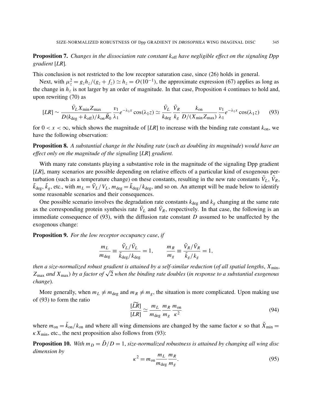# Proposition 7. *Changes in the dissociation rate constant k*off *have negligible effect on the signaling Dpp gradient* [*LR*]*.*

This conclusion is not restricted to the low receptor saturation case, since (26) holds in general.

Next, with  $\mu_z^2 = g_z h_z/(g_z + f_z) \simeq h_z = O(10^{-1})$ , the approximate expression (67) applies as long as the change in *h<sup>z</sup>* is not larger by an order of magnitude. In that case, Proposition 4 continues to hold and, upon rewriting (70) as

$$
[LR] \sim \frac{\bar{V}_L X_{\min} Z_{\max}}{D(k_{\text{deg}} + k_{\text{off}})/k_{\text{on}} \bar{R}_0} \frac{v_1}{\lambda_1} e^{-\lambda_1 x} \cos(\lambda_1 z) \simeq \frac{\bar{V}_L}{k_{\text{deg}}} \frac{\bar{V}_R}{k_g} \frac{k_{\text{on}}}{D/(X_{\min} Z_{\max})} \frac{v_1}{\lambda_1} e^{-\lambda_1 x} \cos(\lambda_1 z) \tag{93}
$$

for  $0 < x < \infty$ , which shows the magnitude of [LR] to increase with the binding rate constant  $k_{on}$ , we have the following observation:

Proposition 8. *A substantial change in the binding rate* (*such as doubling its magnitude*) *would have an effect only on the magnitude of the signaling* [*LR*] *gradient.*

With many rate constants playing a substantive role in the magnitude of the signaling Dpp gradient [*LR*], many scenarios are possible depending on relative effects of a particular kind of exogenous perturbation (such as a temperature change) on these constants, resulting in the new rate constants  $\tilde{V}_L$ ,  $\tilde{V}_R$ ,  $\tilde{k}_{\text{deg}}$ ,  $\tilde{k}_g$ , etc., with  $m_L = \tilde{V}_L / V_L$ ,  $m_{\text{deg}} = \tilde{k}_{\text{deg}} / k_{\text{deg}}$ , and so on. An attempt will be made below to identify some reasonable scenarios and their consequences.

One possible scenario involves the degradation rate constants  $k_{\text{deg}}$  and  $k_g$  changing at the same rate as the corresponding protein synthesis rate  $\bar{V}_L$  and  $\bar{V}_R$ , respectively. In that case, the following is an immediate consequence of (93), with the diffusion rate constant *D* assumed to be unaffected by the exogenous change:

Proposition 9. *For the low receptor occupancy case*, *if*

$$
\frac{m_L}{m_{\text{deg}}} = \frac{\tilde{V}_L / \bar{V}_L}{\tilde{k}_{\text{deg}} / k_{\text{deg}}} = 1, \qquad \frac{m_R}{m_g} = \frac{\tilde{V}_R / \bar{V}_R}{\tilde{k}_g / k_g} = 1,
$$

*then a size-normalized robust gradient is attained by a self-similar reduction* (*of all spatial lengths*,  $X_{min}$ , *<sup>Z</sup>*max *and <sup>X</sup>*max) *by a factor of* <sup>√</sup> 2 *when the binding rate doubles* (*in response to a substantial exogenous change*)*.*

More generally, when  $m_L \neq m_{\text{deg}}$  and  $m_R \neq m_g$ , the situation is more complicated. Upon making use of (93) to form the ratio

$$
\frac{[LR]}{[LR]} \simeq \frac{m_L}{m_{\text{deg}}} \frac{m_R}{m_g} \frac{m_{\text{on}}}{\kappa^2} \tag{94}
$$

where  $m_{\text{on}} = \tilde{k}_{\text{on}}/k_{\text{on}}$  and where all wing dimensions are changed by the same factor  $\kappa$  so that  $\tilde{X}_{\text{min}} =$  $\kappa X_{\text{min}}$ , etc., the next proposition also follows from (93):

**Proposition 10.** With  $m_D = \tilde{D}/D = 1$ , size-normalized robustness is attained by changing all wing disc *dimension by*

$$
\kappa^2 = m_{\rm on} \frac{m_L}{m_{\rm deg}} \frac{m_R}{m_g}.\tag{95}
$$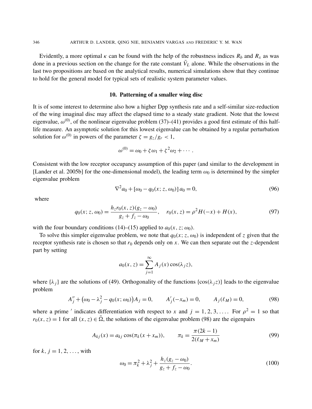Evidently, a more optimal  $\kappa$  can be found with the help of the robustness indices  $R_b$  and  $R_x$  as was done in a previous section on the change for the rate constant  $\bar{V}_L$  alone. While the observations in the last two propositions are based on the analytical results, numerical simulations show that they continue to hold for the general model for typical sets of realistic system parameter values.

# 10. Patterning of a smaller wing disc

It is of some interest to determine also how a higher Dpp synthesis rate and a self-similar size-reduction of the wing imaginal disc may affect the elapsed time to a steady state gradient. Note that the lowest eigenvalue,  $\omega^{(0)}$ , of the nonlinear eigenvalue problem (37)–(41) provides a good first estimate of this halflife measure. An asymptotic solution for this lowest eigenvalue can be obtained by a regular perturbation solution for  $\omega^{(0)}$  in powers of the parameter  $\zeta = g_z/g_r < 1$ ,

$$
\omega^{(0)} = \omega_0 + \zeta \omega_1 + \zeta^2 \omega_2 + \cdots.
$$

Consistent with the low receptor occupancy assumption of this paper (and similar to the development in [Lander et al. 2005b] for the one-dimensional model), the leading term  $\omega_0$  is determined by the simpler eigenvalue problem

$$
\nabla^2 a_0 + [\omega_0 - q_0(x; z, \omega_0)] a_0 = 0, \tag{96}
$$

where

$$
q_0(x; z, \omega_0) = \frac{h_z r_0(x, z)(g_z - \omega_0)}{g_z + f_z - \omega_0}, \quad r_0(x, z) = \rho^2 H(-x) + H(x), \tag{97}
$$

with the four boundary conditions (14)–(15) applied to  $a_0(x, z; \omega_0)$ .

To solve this simpler eigenvalue problem, we note that  $q_0(x; z, \omega_0)$  is independent of *z* given that the receptor synthesis rate is chosen so that  $r_0$  depends only on  $x$ . We can then separate out the *z*-dependent part by setting

$$
a_0(x, z) = \sum_{j=1}^{\infty} A_j(x) \cos(\lambda_j z),
$$

where  $\{\lambda_i\}$  are the solutions of (49). Orthogonality of the functions  $\{\cos(\lambda_i z)\}$  leads to the eigenvalue problem

$$
A''_j + (\omega_0 - \lambda_j^2 - q_0(x; \omega_0))A_j = 0, \qquad A'_j(-x_m) = 0, \qquad A_j(\ell_M) = 0,
$$
\n(98)

where a prime ' indicates differentiation with respect to *x* and  $j = 1, 2, 3, \ldots$ . For  $\rho^2 = 1$  so that  $r_0(x, z) = 1$  for all  $(x, z) \in \overline{\Omega}$ , the solutions of the eigenvalue problem (98) are the eigenpairs

$$
A_{kj}(x) = a_{kj} \cos(\pi_k(x + x_m)), \qquad \pi_k = \frac{\pi(2k - 1)}{2(\ell_M + x_m)}
$$
(99)

for  $k, j = 1, 2, ...,$  with

$$
\omega_0 = \pi_k^2 + \lambda_j^2 + \frac{h_z(g_z - \omega_0)}{g_z + f_z - \omega_0}.
$$
\n(100)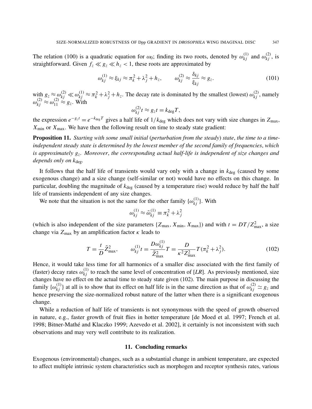The relation (100) is a quadratic equation for  $\omega_0$ ; finding its two roots, denoted by  $\omega_{kj}^{(1)}$  and  $\omega_{kj}^{(2)}$ , is straightforward. Given  $f_z \ll g_z \ll h_z < 1$ , these roots are approximated by

$$
\omega_{kj}^{(1)} \approx \xi_{kj} \approx \pi_k^2 + \lambda_j^2 + h_z, \qquad \omega_{kj}^{(2)} \approx \frac{\delta_{kj}}{\xi_{kj}} \approx g_z.
$$
 (101)

with  $g_z \approx \omega_{kj}^{(2)} \ll \omega_{kj}^{(1)} \approx \pi_k^2 + \lambda_j^2 + h_z$ . The decay rate is dominated by the smallest (lowest)  $\omega_{kj}^{(2)}$ , namely  $\omega_{kj}^{(2)} \approx \omega_{11}^{(2)} \approx g_z$ . With

$$
\omega_{kj}^{(2)}t \approx g_z t = k_{\text{deg}} T,
$$

the expression  $e^{-g_z t} = e^{-k_{\text{deg}}T}$  gives a half life of  $1/k_{\text{deg}}$  which does not vary with size changes in  $Z_{\text{max}}$ ,  $X_{\text{min}}$  or  $X_{\text{max}}$ . We have then the following result on time to steady state gradient:

Proposition 11. *Starting with some small initial* (*perturbation from the steady*) *state*, *the time to a timeindependent steady state is determined by the lowest member of the second family of frequencies*, *which is approximately g<sup>z</sup> . Moreover*, *the corresponding actual half-life is independent of size changes and depends only on k*deg*.*

It follows that the half life of transients would vary only with a change in  $k_{\text{deg}}$  (caused by some exogenous change) and a size change (self-similar or not) would have no effects on this change. In particular, doubling the magnitude of  $k_{\text{deg}}$  (caused by a temperature rise) would reduce by half the half life of transients independent of any size changes.

We note that the situation is not the same for the other family  $\{\omega_{kj}^{(1)}\}$ . With

$$
\omega_{kj}^{(1)} \approx \tilde{\omega}_{kj}^{(1)} \equiv \pi_k^2 + \lambda_j^2
$$

(which is also independent of the size parameters  $\{Z_{\text{max}}, X_{\text{min}}, X_{\text{max}}\}$ ) and with  $t = DT/Z_{\text{max}}^2$ , a size change via  $Z_{\text{max}}$  by an amplification factor  $\kappa$  leads to

$$
T = \frac{t}{D}\tilde{Z}_{\text{max}}^2, \qquad \omega_{kj}^{(1)}t = \frac{D\omega_{kj}^{(1)}}{\tilde{Z}_{\text{max}}^2}T = \frac{D}{\kappa^2 Z_{\text{max}}^2}T(\pi_k^2 + \lambda_j^2). \tag{102}
$$

Hence, it would take less time for all harmonics of a smaller disc associated with the first family of (faster) decay rates  $\omega_{kj}^{(1)}$  to reach the same level of concentration of [*LR*]. As previously mentioned, size changes have no effect on the actual time to steady state given (102). The main purpose in discussing the family  $\{\omega_{kj}^{(1)}\}$  at all is to show that its effect on half life is in the same direction as that of  $\omega_{kj}^{(2)} \simeq g_z$  and hence preserving the size-normalized robust nature of the latter when there is a significant exogenous change.

While a reduction of half life of transients is not synonymous with the speed of growth observed in nature, e.g., faster growth of fruit flies in hotter temperature [de Moed et al. 1997; French et al. 1998; Bitner-Mathé and Klaczko 1999; Azevedo et al. 2002], it certainly is not inconsistent with such observations and may very well contribute to its realization.

#### 11. Concluding remarks

Exogenous (environmental) changes, such as a substantial change in ambient temperature, are expected to affect multiple intrinsic system characteristics such as morphogen and receptor synthesis rates, various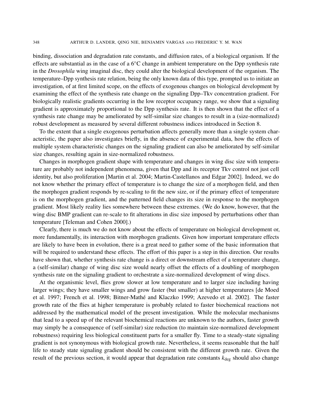binding, dissociation and degradation rate constants, and diffusion rates, of a biological organism. If the effects are substantial as in the case of a 6◦C change in ambient temperature on the Dpp synthesis rate in the *Drosophila* wing imaginal disc, they could alter the biological development of the organism. The temperature–Dpp synthesis rate relation, being the only known data of this type, prompted us to initiate an investigation, of at first limited scope, on the effects of exogenous changes on biological development by examining the effect of the synthesis rate change on the signaling Dpp–Tkv concentration gradient. For biologically realistic gradients occurring in the low receptor occupancy range, we show that a signaling gradient is approximately proportional to the Dpp synthesis rate. It is then shown that the effect of a synthesis rate change may be ameliorated by self-similar size changes to result in a (size-normalized) robust development as measured by several different robustness indices introduced in Section 8.

To the extent that a single exogenous perturbation affects generally more than a single system characteristic, the paper also investigates briefly, in the absence of experimental data, how the effects of multiple system characteristic changes on the signaling gradient can also be ameliorated by self-similar size changes, resulting again in size-normalized robustness.

Changes in morphogen gradient shape with temperature and changes in wing disc size with temperature are probably not independent phenomena, given that Dpp and its receptor Tkv control not just cell identity, but also proliferation [Martin et al. 2004; Martin-Castellanos and Edgar 2002]. Indeed, we do not know whether the primary effect of temperature is to change the size of a morphogen field, and then the morphogen gradient responds by re-scaling to fit the new size, or if the primary effect of temperature is on the morphogen gradient, and the patterned field changes its size in response to the morphogen gradient. Most likely reality lies somewhere between these extremes. (We do know, however, that the wing disc BMP gradient can re-scale to fit alterations in disc size imposed by perturbations other than temperature [Teleman and Cohen 2000].)

Clearly, there is much we do not know about the effects of temperature on biological development or, more fundamentally, its interaction with morphogen gradients. Given how important temperature effects are likely to have been in evolution, there is a great need to gather some of the basic information that will be required to understand these effects. The effort of this paper is a step in this direction. Our results have shown that, whether synthesis rate change is a direct or downstream effect of a temperature change, a (self-similar) change of wing disc size would nearly offset the effects of a doubling of morphogen synthesis rate on the signaling gradient to orchestrate a size-normalized development of wing discs.

At the organismic level, flies grow slower at low temperature and to larger size including having larger wings; they have smaller wings and grow faster (but smaller) at higher temperatures [de Moed et al. 1997; French et al. 1998; Bitner-Mathé and Klaczko 1999; Azevedo et al. 2002]. The faster growth rate of the flies at higher temperature is probably related to faster biochemical reactions not addressed by the mathematical model of the present investigation. While the molecular mechanisms that lead to a speed up of the relevant biochemical reactions are unknown to the authors, faster growth may simply be a consequence of (self-similar) size reduction (to maintain size-normalized development robustness) requiring less biological constituent parts for a smaller fly. Time to a steady-state signaling gradient is not synonymous with biological growth rate. Nevertheless, it seems reasonable that the half life to steady state signaling gradient should be consistent with the different growth rate. Given the result of the previous section, it would appear that degradation rate constants  $k_{\text{deg}}$  should also change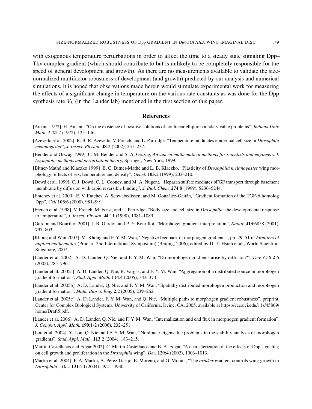with exogenous temperature perturbations in order to affect the time to a steady state signaling Dpp– Tkv complex gradient (which should contribute to but is unlikely to be completely responsible for the speed of general development and growth). As there are no measurements available to validate the sizenormalized multifactor robustness of development (and growth) predicted by our analysis and numerical simulations, it is hoped that observations made herein would stimulate experimental work for measuring the effects of a significant change in temperature on the various rate constants as was done for the Dpp synthesis rate  $\bar{V}_L$  (in the Lander lab) mentioned in the first section of this paper.

#### **References**

- [Amann 1972] H. Amann, "On the existence of positive solutions of nonlinear elliptic boundary value problems", *Indiana Univ. Math. J.* 21:2 (1972), 125–146.
- [Azevedo et al. 2002] R. B. R. Azevedo, V. French, and L. Partridge, "Temperature modulates epidermal cell size in *Drosophila melanogaster*", *J. Insect. Physiol.* 48:2 (2002), 231–237.
- [Bender and Orszag 1999] C. M. Bender and S. A. Orszag, *Advanced mathematical methods for scientists and engineers, I: Asymptotic methods and perturbation theory*, Springer, New York, 1999.
- [Bitner-Mathé and Klaczko 1999] B. C. Bitner-Mathé and L. B. Klaczko, "Plasticity of *Drosophila melanogaster* wing morphology: effects of sex, temperature and density", *Genet.* 105:2 (1999), 203–210.
- [Dowd et al. 1999] C. J. Dowd, C. L. Cooney, and M. A. Nugent, "Heparan sulfate mediates bFGF transport through basement membrane by diffusion with rapid reversible binding", *J. Biol. Chem.* 274:8 (1999), 5236–5244.
- [Entchev et al. 2000] E. V. Entchev, A. Schwabedissen, and M. González-Gaitán, "Gradient formation of the TGF-β homolog Dpp", *Cell* 103:6 (2000), 981–991.
- [French et al. 1998] V. French, M. Feast, and L. Partridge, "Body size and cell size in *Drosophila*: the developmental response to temperature", *J. Insect. Physiol.* 44:11 (1998), 1081–1089.
- [Gurdon and Bourillot 2001] J. B. Gurdon and P.-Y. Bourillot, "Morphogen gradient interpretation", *Nature* 413:6858 (2001), 797–803.
- [Khong and Wan 2007] M. Khong and F. Y. M. Wan, "Negative feedback in morphogen gradients", pp. 29–51 in *Frontiers of applied mathematics* (Proc. of 2nd International Symposium) (Beijing, 2006), edited by D.-Y. Hsieh et al., World Scientific, Singapore, 2007.
- [Lander et al. 2002] A. D. Lander, Q. Nie, and F. Y. M. Wan, "Do morphogen gradients arise by diffusion?", *Dev. Cell* 2:6 (2002), 785–796.
- [Lander et al. 2005a] A. D. Lander, Q. Nie, B. Vargas, and F. Y. M. Wan, "Aggregation of a distributed source in morphogen gradient formation", *Stud. Appl. Math.* 114:4 (2005), 343–374.
- [Lander et al. 2005b] A. D. Lander, Q. Nie, and F. Y. M. Wan, "Spatially distributed morphogen production and morphogen gradient formation", *Math. Biosci. Eng.* 2:2 (2005), 239–262.
- [Lander et al. 2005c] A. D. Lander, F. Y. M. Wan, and Q. Nie, "Multiple paths to morphogen gradient robustness", preprint, Center for Complex Biological Systems, University of California, Irvine, CA, 2005, available at https://eee.uci.edu/11s/45869/ home/Draft5.pdf.
- [Lander et al. 2006] A. D. Lander, Q. Nie, and F. Y. M. Wan, "Internalization and end flux in morphogen gradient formation", *J. Comput. Appl. Math.* 190:1-2 (2006), 232–251.
- [Lou et al. 2004] Y. Lou, Q. Nie, and F. Y. M. Wan, "Nonlinear eigenvalue problems in the stability analysis of morphogen gradients", *Stud. Appl. Math.* 113:2 (2004), 183–215.
- [Martin-Castellanos and Edgar 2002] C. Martin-Castellanos and B. A. Edgar, "A characterization of the effects of Dpp signaling on cell growth and proliferation in the *Drosophila* wing", *Dev.* 129:4 (2002), 1003–1013.
- [Martin et al. 2004] F. A. Martin, A. Pérez-Garijo, E. Moreno, and G. Morata, "The *brinker* gradient controls wing growth in *Drosophila*", *Dev.* 131:20 (2004), 4921–4930.